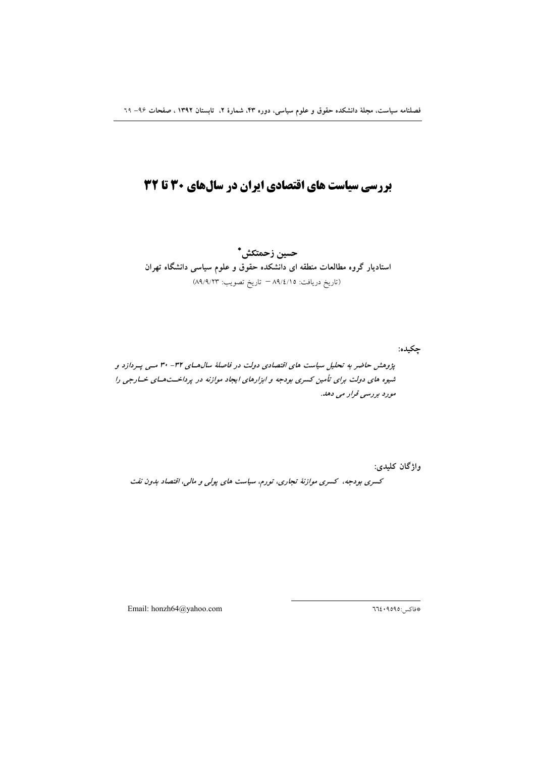# بررسی سیاست های اقتصادی ایران در سالهای 30 تا 32

حسين زحمتكش\* استادیار گروه مطالعات منطقه ای دانشکده حقوق و علوم سیاسی دانشگاه تهران (تاريخ دريافت: ٨٩/٤/١٥ = تاريخ تصويب: ٨٩/٩/٢٣)

چکیده:

پژوهش حاضر به تحلیل سیاست های اقتصادی دولت در فاصلهٔ سال هـای ۳۲- ۳۰ مـی پـردازد و شیوه های دولت برای تأمین کسری بودجه و ابزارهای ایجاد موازنه در پرداخـتهـای خـارجی را مورد بررسی قرار می دهد.

واژگان کلیدی:

کسری بودجه، کسری موازنهٔ تجاری، تورم، سیاست های پولی و مالی، اقتصاد بدون نفت

Email: honzh64@yahoo.com

\*فاكس:٩٥٩٥: ٦٦٤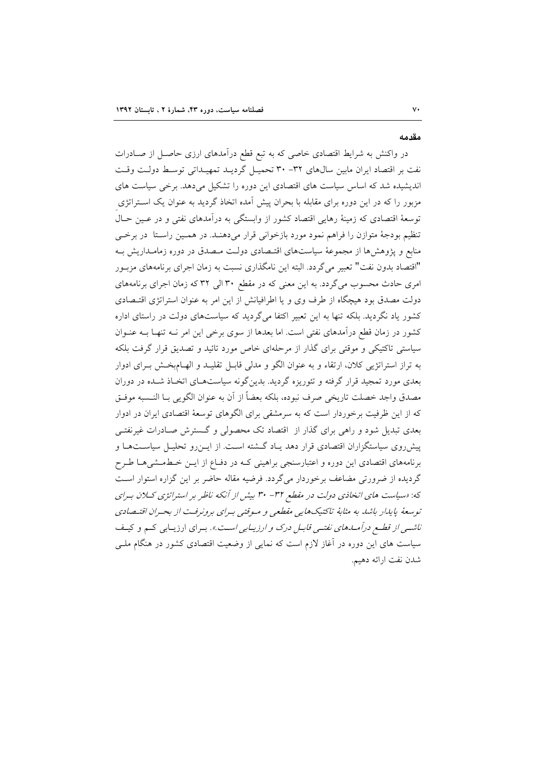#### مقدمه

در واکنش به شرایط اقتصادی خاصی که به تبع قطع درآمدهای ارزی حاصـل از صـادرات نفت بر اقتصاد ایران مابین سال های ۳۲- ۳۰ تحمیـل گردیـد تمهیـداتی توسـط دولـت وقـت اندیشیده شد که اساس سیاست های اقتصادی این دوره را تشکیل میدهد. برخی سیاست های مزبور را که در این دوره برای مقابله با بحران پیش آمده اتخاذ گردید به عنوان یک اسـتراتژی توسعهٔ اقتصادی که زمینهٔ رهایی اقتصاد کشور از وابستگی به درآمدهای نفتی و در عـین حـال تنظیم بودجهٔ متوازن را فراهم نمود مورد بازخوانی قرار میدهنـد. در همـین راسـتا در برخـی منابع و پژوهشها از مجموعهٔ سیاستهای اقتـصادی دولـت مـصدق در دوره زمامـداریش بـه "اقتصاد بدون نفت" تعبير مي گردد. البته اين نامگذاري نسبت به زمان اجراي برنامههاي مزبـور امری حادث محسوب میگردد. به این معنی که در مقطع ۳۰ الی ۳۲ که زمان اجرای برنامههای دولت مصدق بود هیچگاه از طرف وی و یا اطرافیانش از این امر به عنوان استراتژی اقتـصادی کشور یاد نگردید. بلکه تنها به این تعبیر اکتفا می گردید که سیاستهای دولت در راستای اداره کشور در زمان قطع درآمدهای نفتی است. اما بعدها از سوی برخی این امر نــه تنهـا بــه عنــوان سیاستی تاکتیکی و موقتی برای گذار از مرحلهای خاص مورد تائید و تصدیق قرار گرفت بلکه به تراز استراتژیی کلان، ارتقاء و به عنوان الگو و مدلی قابـل تقلیـد و الهـامبخـش بـرای ادوار بعدی مورد تمجید قرار گرفته و تئوریزه گردید. بدینگونه سیاستهـای اتخـاذ شـده در دوران مصدق واجد خصلت تاريخي صرف نبوده، بلكه بعضاً از آن به عنوان الگويي بــا النــسبه موفــق که از این ظرفیت برخوردار است که به سرمشقی برای الگوهای توسعهٔ اقتصادی ایران در ادوار بعدی تبدیل شود و راهی برای گذار از اقتصاد تک محصولی و گسترش صـادرات غیرنفتـی پیش روی سیاستگزاران اقتصادی قرار دهد یـاد گــشته اسـت. از ایــن(و تحلیــل سیاســتهـا و برنامههای اقتصادی این دوره و اعتبارسنجی براهینی کـه در دفـاع از ایــن خـطـمــشیهـا طــرح گردیده از ضرورتی مضاعف برخوردار میگردد. فرضیه مقاله حاضر بر این گزاره استوار است که: «سیاست های انخاذی دولت در مقطع ۳۲ - ۳۰ بیش از آنکه ناظر بر استراتژی کلان به ای توسعهٔ پایدار باشد به مثابهٔ تاکتیکهایی مقطعی و میوقتی بیرای برونرفت از بحیران اقتیصادی ناش<sub>می</sub> از قطع درآملهای نفت<sub>می</sub> قابیل درک و *ارزیبابی است.»*. بیرای ارزیبابی کیم و کیف سیاست های این دوره در آغاز لازم است که نمایی از وضعیت اقتصادی کشور در هنگام ملـی شدن نفت ارائه دهيم.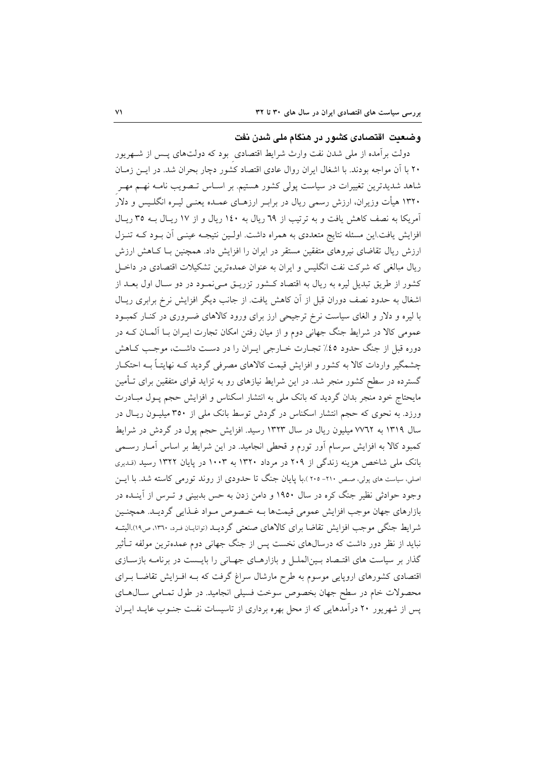# وضعت اقتصادی کشور در هنگام ملی شدن نفت

دولت برآمده از ملی شدن نفت وارث شرایط اقتصادی بود که دولتهای پـس از شـهریور ۲۰ با آن مواجه بودند. با اشغال ایران روال عادی اقتصاد کشور دچار بحران شد. در ایــن زمــان شاهد شدیدترین تغییرات در سیاست پولی کشور هستیم. بر اسـاس تــصویب نامــه نهــم مهــر ۱۳۲۰ هیأت وزیران، ارزش رسمی ریال در برابـر ارزهـای عمـده یعنـی لیـره انگلـیس و دلار آمریکا به نصف کاهش یافت و به ترتیب از ٦٩ ریال به ١٤٠ ریال و از ١٧ ریـال بـه ٣٥ ریـال افزایش یافت.این مسئله نتایج متعددی به همراه داشت. اولـین نتیجـه عینـی آن بـود کـه تنـزل ارزش ریال تقاضای نیروهای متفقین مستقر در ایران را افزایش داد. همچنین بـا کـاهش ارزش ریال مبالغی که شرکت نفت انگلیس و ایران به عنوان عمدهترین تشکیلات اقتصادی در داخـل کشور از طریق تبدیل لیره به ریال به اقتصاد کـشور تزریـق مـیiمـود در دو سـال اول بعـد از اشغال به حدود نصف دوران قبل از آن کاهش یافت. از جانب دیگر افزایش نرخ برابری ریـال با لیره و دلار و الغای سیاست نرخ ترجیحی ارز برای ورود کالاهای ضـروری در کنـار کمبـود عمومی کالا در شرایط جنگ جهانی دوم و از میان رفتن امکان تجارت ایـران بـا آلمـان کــه در دوره قبل از جنگ حدود ٤٥٪ تجـارت خـارجي ايـران را در دسـت داشـت، موجـب كـاهش چشمگیر واردات کالا به کشور و افزایش قیمت کالاهای مصرفی گردید کـه نهایتـاً بـه احتکـار گسترده در سطح کشور منجر شد. در این شرایط نیازهای رو به تزاید قوای متفقین برای تــأمین مایحتاج خود منجر بدان گردید که بانک ملی به انتشار اسکناس و افزایش حجم پـول مبـادرت ورزد. به نحوی که حجم انتشار اسکناس در گردش توسط بانک ملی از ۳۵۰ میلیـون ریـال در سال ۱۳۱۹ به ۷۷٦۲ میلیون ریال در سال ۱۳۲۳ رسید. افزایش حجم پول در گردش در شرایط کمبود کالا به افزایش سرسام اَور تورم و قحطی انجامید. در این شرایط بر اساس اَمــار رســمی بانک ملی شاخص هزینه زندگی از ۲۰۹ در مرداد ۱۳۲۰ به ۱۰۰۳ در پایان ۱۳۲۲ رسید (قدیری اصلی، سیاست های پولی، صص ۲۱۰- ۲۰۰).با پایان جنگ تا حدودی از روند تورمی کاسته شد. با ایس وجود حوادثی نظیر جنگ کره در سال ۱۹۵۰ و دامن زدن به حس بدبینی و تـرس از آینـده در بازارهای جهان موجب افزایش عمومی قیمتها بـه خـصوص مـواد غـذایی گردیـد. همچنـین شرایط جنگی موجب افزایش تقاضا برای کالاهای صنعتی گردیـد (توانایـان فـرد، ١٣٦٠، ص١٩).البتـه نباید از نظر دور داشت که درسال۵ای نخست پس از جنگ جهانی دوم عمدهترین مولفه تـأثیر گذار بر سیاست های اقتـصاد بـینالملـل و بازارهـای جهـانی را بایـست در برنامـه بازسـازی اقتصادی کشورهای اروپایی موسوم به طرح مارشال سراغ گرفت که بـه افـزایش تقاضـا بـرای محصولات خام در سطح جهان بخصوص سوخت فسیلی انجامید. در طول تمـامی سـالهـای یس از شهرپور ۲۰ درآمدهایی که از محل بهره برداری از تاسیسات نفت جنـوب عایــد ایــران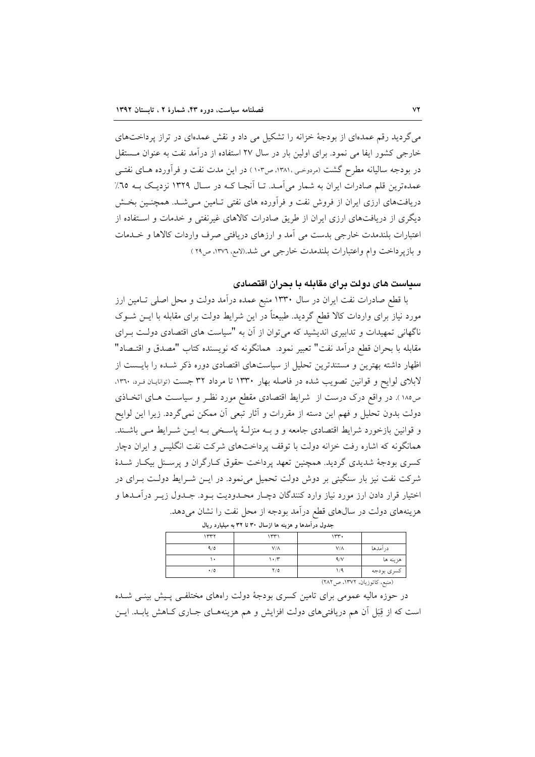می گردید رقم عمدهای از بودجهٔ خزانه را تشکیل می داد و نقش عمدهای در تراز پرداختهای خارجی کشور ایفا می نمود. برای اولین بار در سال ۲۷ استفاده از درآمد نفت به عنوان مـستقل در بودجه سالیانه مطرح گشت (مردوحی،۱۳۸۱، ص۱۰۳) در این مدت نفت و فرآورده هـای نفتـی عمدهترین قلم صادرات ایران به شمار می آمـد. تـا آنجـا کـه در سـال ۱۳۲۹ نزدیـک بـه ٦٥٪ دریافتهای ارزی ایران از فروش نفت و فرآورده های نفتی تـامین مـی شـد. همچنـین بخـش دیگری از دریافتهای ارزی ایران از طریق صادرات کالاهای غیرنفتی و خدمات و استفاده از اعتبارات بلندمدت خارجي بدست مي آمد و ارزهاي دريافتي صرف واردات كالاها و خــدمات و بازیر داخت وام واعتبارات بلندمدت خارجی می شد.(لامع، ۱۳۷۲، ص۲۹)

# سیاست های دولت برای مقابله یا بحران اقتصادی

با قطع صادرات نفت ایران در سال ۱۳۳۰ منبع عمده درآمد دولت و محل اصلی تـامین ارز مورد نیاز برای واردات کالا قطع گردید. طبیعتاً در این شرایط دولت برای مقابله با ایــن شــوک ناگهانی تمهیدات و تدابیری اندیشید که می توان از آن به "سیاست های اقتصادی دولت بـرای مقابله با بحران قطع درآمد نفت" تعبير نمود. همانگونه كه نويسنده كتاب "مصدق و اقتــصاد" اظهار داشته بهترین و مستندترین تحلیل از سیاستهای اقتصادی دوره ذکر شده را بایست از لابلای لوایح و قوانین تصویب شده در فاصله بهار ۱۳۳۰ تا مرداد ۳۲ جست (توانایـان فـرد، ۱۳۶۰، ص١٨٥). در واقع درک درست از شرايط اقتصادي مقطع مورد نظـر و سياسـت هـاي اتخـاذي دولت بدون تحلیل و فهم این دسته از مقررات و آثار تبعی آن ممکن نمیگردد. زیرا این لوایح و قوانین بازخورد شرایط اقتصادی جامعه و و بـه منزلـهٔ پاسـخی بـه ایـن شـرایط مـی باشـند. همانگونه که اشاره رفت خزانه دولت با توقف پرداختهای شرکت نفت انگلیس و ایران دچار کسری بودجهٔ شدیدی گردید. همچنین تعهد پرداخت حقوق کـارگران و پرسـنل بیکـار شـدهٔ شرکت نفت نیز بار سنگینی بر دوش دولت تحمیل می نمود. در ایـن شـرایط دولـت بـرای در اختیار قرار دادن ارز مورد نیاز وارد کنندگان دچـار محــدودیت بــود. جــدول زیــر درآمــدها و هزینههای دولت در سالهای قطع درآمد بودجه از محل نفت را نشان می دهد.

| جدون در استاند و مرتبه مدارستان ۲۰۰ به میشورد ریان |             |             |            |  |  |
|----------------------------------------------------|-------------|-------------|------------|--|--|
| ۱۳۳۲                                               | ۱۳۳۱        | ۱۳۳۰        |            |  |  |
| 9/0                                                | $V/\Lambda$ | $V/\Lambda$ | درآمدها    |  |  |
| ۰.                                                 | ۱۰/۳        | 4/V         | هزينه ها   |  |  |
| $\cdot/0$                                          | Y/0         | ۱٬۹         | كسرى بودجه |  |  |
| $(YAY = 11707 \ldots 16.56)$                       |             |             |            |  |  |

در حوزه مالیه عمومی برای تامین کسری بودجهٔ دولت راههای مختلفـی پـیش بینـی شـده است که از قِبَل آن هم دریافتی های دولت افزایش و هم هزینههـای جـاری کــاهش یابــد. ایــن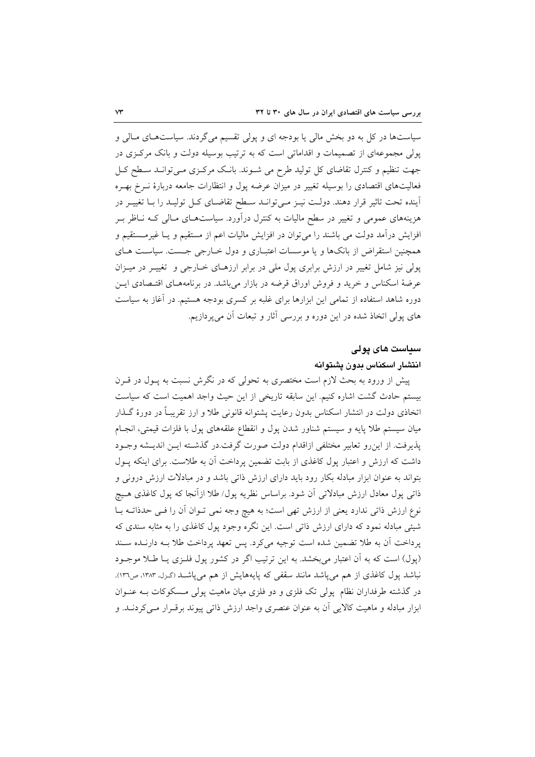سیاستها در کل به دو بخش مالی یا بودجه ای و پولی تقسیم می گردند. سیاستهای مـالی و یولی مجموعهای از تصمیمات و اقداماتی است که به ترتیب بوسیله دولت و بانک مرکزی در جهت تنظیم و کنترل تقاضای کل تولید طرح می شـوند. بانـک مرکـزی مـیتوانـد سـطح کـل فعالیتهای اقتصادی را بوسیله تغییر در میزان عرضه پول و انتظارات جامعه دربارهٔ نـرخ بهـره آینده تحت تاثیر قرار دهند. دولت نیـز مـیتوانـد سـطح تقاضـای کـل تولیـد را بـا تغییـر در هزینههای عمومی و تغییر در سطح مالیات به کنترل درآورد. سیاستهـای مـالی کـه نـاظر بـر افزایش درآمد دولت می باشند را می توان در افزایش مالیات اعم از مستقیم و یـا غیرمـستقیم و همچنین استقراض از بانکها و یا موسسات اعتبـاری و دول خــارجی جــست. سیاسـت هــای پولی نیز شامل تغییر در ارزش برابری پول ملی در برابر ارزهـای خـارجی و تغییـر در میـزان عرضهٔ اسکناس و خرید و فروش اوراق قرضه در بازار میباشد. در برنامههـای اقتـصادی ایــن دوره شاهد استفاده از تمامی این ابزارها برای غلبه بر کسری بودجه هستیم. در آغاز به سیاست های پولی اتخاذ شده در این دوره و بررسی آثار و تبعات آن میپردازیم.

#### سياست های يولی

# انتشار اسكناس بدون يشتوانه

پیش از ورود به بحث لازم است مختصری به تحولی که در نگرش نسبت به پـول در قـرن بیستم حادث گشت اشاره کنیم. این سابقه تاریخی از این حیث واجد اهمیت است که سیاست اتخاذی دولت در انتشار اسکناس بدون رعایت پشتوانه قانونی طلا و ارز تقریبـاً در دورهٔ گــذار میان سیستم طلا پایه و سیستم شناور شدن پول و انقطاع علقههای پول با فلزات قیمتی، انجـام پذیرفت. از این رو تعابیر مختلفی ازاقدام دولت صورت گرفت.در گذشته ایـن اندیـشه وجـود داشت که ارزش و اعتبار پول کاغذی از بابت تضمین پرداخت آن به طلاست. برای اینکه پیول بتواند به عنوان ابزار مبادله بکار رود باید دارای ارزش ذاتی باشد و در مبادلات ارزش درونی و ذاتی پول معادل ارزش مبادلاتی آن شود. براساس نظریه پول/ طلا ازآنجا که پول کاغذی هـیچ نوع ارزش ذاتی ندارد یعنی از ارزش تھی است؛ به هیچ وجه نمی تـوان آن را فـی حدذاتـه بــا شیئی مبادله نمود که دارای ارزش ذاتی است. این نگره وجود یول کاغذی را به مثابه سندی که پرداخت آن به طلا تضمین شده است توجیه می کرد. پس تعهد پرداخت طلا بـه دارنـده سـند (پول) است که به آن اعتبار می بخشد. به این ترتیب اگر در کشور پول فلـزی یـا طـلا موجـود نباشد پول کاغذی از هم می پاشد مانند سقفی که پایههایش از هم می پاشـد (گـزل، ۱۳۸۳، ص۱۳۱. در گذشته طرفداران نظام پولی تک فلزی و دو فلزی میان ماهیت پولی مـسکوکات بــه عنــوان ابزار مبادله و ماهیت کالایی آن به عنوان عنصری واجد ارزش ذاتی پیوند برقـرار مـی کردنــد. و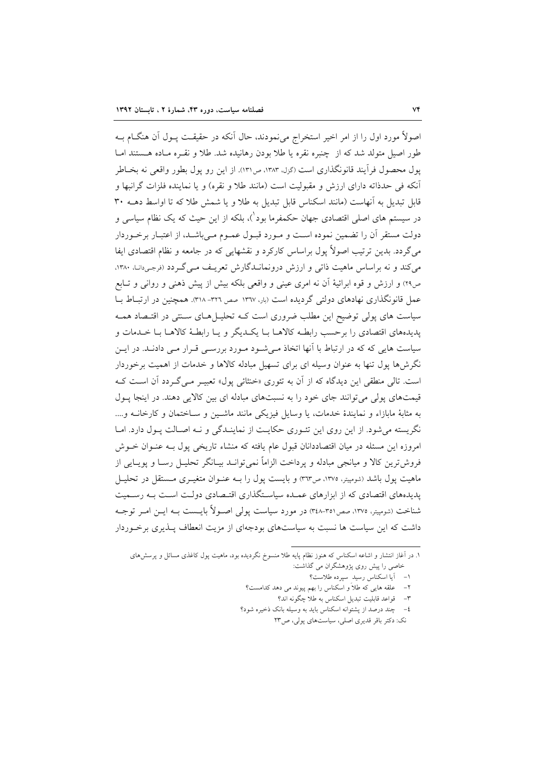اصولاً مورد اول را از امر اخیر استخراج میٖنمودند، حال آنکه در حقیقـت پــول آن هنگــام بــه طور اصيل متولد شد كه از چنبره نقره يا طلا بودن رهانيده شد. طلا و نقـره مـاده هـستند امـا یول محصول فرآیند قانونگذاری است (گزله ۱۳۸۳، ص۱۳۱). از این رو پول بطور واقعی نه بخـاطر آنکه فی حدذاته دارای ارزش و مقبولیت است (مانند طلا و نقره) و یا نماینده فلزات گرانبها و قابل تبدیل به آنهاست (مانند اسکناس قابل تبدیل به طلا و یا شمش طلا که تا اواسط دهــه ۳۰ در سیستم های اصلی اقتصادی جهان حکمفرما بود')، بلکه از این حیث که یک نظام سیاسی و دولت مستقر آن را تضمین نموده است و مـورد قبـول عمـوم مـیباشـد، از اعتبـار برخـوردار می گردد. بدین ترتیب اصولاً یول براساس کارکرد و نقشهایی که در جامعه و نظام اقتصادی ایفا می کند و نه براساس ماهیت ذاتی و ارزش درونمانــدگارش تعریـف مــی گــردد (نرجـی۱ت). ۱۳۸۰، ص٢٩) و ارزش و قوه ابرائيهٔ آن نه امري عيني و واقعي بلكه بيش از پيش ذهني و رواني و تــابع عمل قانونگذاری نهادهای دولتی گردیده است (بار، ۱۳۳۷ صص ۳۲۱- ۳۱۸). همچنین در ارتباط بــا سیاست های پولی توضیح این مطلب ضروری است کـه تحلیـلهـای سـنتی در اقتـصاد همـه يديدههاي اقتصادي را برحسب رابطـه كالاهــا بــا يكــديگر و يــا رابطــهٔ كالاهــا بــا خــدمات و سیاست هایی که که در ارتباط با آنها اتخاذ مـیشـود مـورد بررسـی قـرار مـی دادنـد. در ایـن نگرش ها یول تنها به عنوان وسیله ای برای تسهیل مبادله کالاها و خدمات از اهمیت برخوردار است. تالی منطقی این دیدگاه که از آن به تئوری «خنثائی پول» تعبیـر مـیگـردد آن اسـت کـه قیمتهای پولی می توانند جای خود را به نسبتهای مبادله ای بین کالایی دهند. در اینجا پول به مثابهٔ مابازاء و نمایندهٔ خدمات، یا وسایل فیزیکی مانند ماشـین و سـاختمان و کارخانــه و.... نگریسته میشود. از این روی این تئـوری حکایـت از نماینـدگی و نـه اصـالت پـول دارد. امـا امروزه این مسئله در میان اقتصاددانان قبول عام یافته که منشاء تاریخی پول بـه عنـوان خــوش فروش ترین کالا و میانجی مبادله و پرداخت الزاماً نمی توانــد بیــانگر تحلیــل رســا و پویــایی از ماهیت پول باشد (شومپیتر، ۱۳۷۵، ص۳۱۳) و بایست پول را بـه عنــوان متغیــری مــستقل در تحلیــل پدیدههای اقتصادی که از ابزارهای عمـده سیاسـتگذاری اقتـصادی دولـت اسـت بـه رسـمیت شناخت (شومیتر، ۱۳۷۵، صص۱۳۵-۳٤۸) در مورد سیاست یولی اصـولاً بایــست بــه ایــن امــر توجــه داشت که این سیاست ها نسبت به سیاستهای بودجهای از مزیت انعطاف پیذیری برخبوردار

۱. در آغاز انتشار و اشاعه اسکناس که هنوز نظام پایه طلا منسوخ نگردیده بود، ماهیت پول کاغذی مسائل و پرسشهای خاصی را پیش روی پژوهشگران می گذاشت:

١- أيا اسكناس رسيد سپرده طلاست؟

علقه هایی که طلاً و اسکناس را بهم پیوند می دهد کدامست؟

٣- قواعد قابليت تبديل اسكناس به طلا چگونه اند؟

٤- حند درصد از يشتوانه اسكناس بايد به وسيله بانک ذخيره شود؟

نک: دکتر باقر قدیری اصلی، سیاستهای پولی، ص ٢٣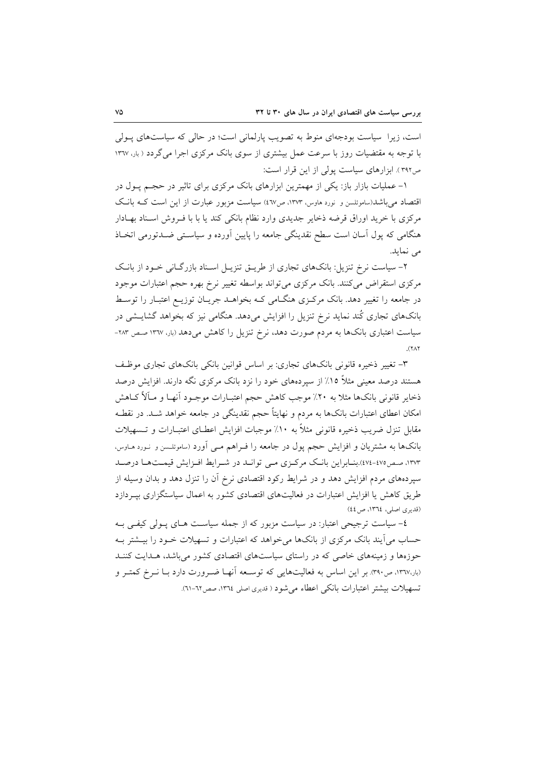است، زیرا سیاست بودجهای منوط به تصویب پارلمانی است؛ در حالی که سیاستهای پـولی با توجه به مقتضیات روز با سرعت عمل بیشتری از سوی بانک مرکزی اجرا می گردد ( بار، ۱۳٦۷ ص٣٩٢). ابزارهای سیاست پولی از این قرار است:

۱– عملیات بازار باز: یکی از مهمترین ابزارهای بانک مرکزی برای تاثیر در حجـم پـول در اقتصاد می باشد(ساموئلسن و نورد هاوس، ۱۳۷۳، ص٤٦٧) سیاست مزبور عبارت از این است کـه بانـک مرکزی با خرید اوراق قرضه ذخایر جدیدی وارد نظام بانکی کند یا با با فـروش اسـناد بهـادار هنگامی که پول آسان است سطح نقدینگی جامعه را پایین آورده و سیاستی ضـدتورمی اتخـاذ می نماید.

۲- سیاست نرخ تنزیل: بانکهای تجاری از طریــق تنزیــل اســناد بازرگــانی خــود از بانــک مرکزی استقراض می کنند. بانک مرکزی می تواند بواسطه تغییر نرخ بهره حجم اعتبارات موجود در جامعه را تغییر دهد. بانک مرکزی هنگـامی کـه بخواهــد جریــان توزیــع اعتبــار را توسـط بانکهای تجاری کُند نماید نرخ تنزیل را افزایش میدهد. هنگامی نیز که بخواهد گشایــشی در سیاست اعتباری بانکها به مردم صورت دهد، نرخ تنزیل را کاهش میدهد (بار، ۱۳٦۷ صص ۲۸۳- $\lambda(Y\wedge Y)$ 

۳- تغییر ذخیره قانونی بانکهای تجاری: بر اساس قوانین بانکی بانکهای تجاری موظف هستند درصد معینی مثلاً ۱۵٪ از سیردههای خود را نزد بانک مرکزی نگه دارند. افزایش درصد ذخاير قانوني بانک0ا مثلاً به ٢٠٪ موجب کاهش حجم اعتبـارات موجــود آنهـا و مــآلاً کــاهش امکان اعطای اعتبارات بانکها به مردم و نهایتاً حجم نقدینگی در جامعه خواهد شـد. در نقطـه مقابل تنزل ضريب ذخيره قانوني مثلاً به ١٠٪ موجبات افزايش اعطـاي اعتبــارات و تــسهيلات بانکها به مشتریان و افزایش حجم پول در جامعه را فـراهم مــی اَورد (ساموئلــسن و نــورد هــاوس، ۱۳۷۳، صص۷۵-۷۷٤).بنـابراين بانـک مرکـزي مـي توانـد در شـرايط افـزايش قيمـتهـا درصـد سپردههای مردم افزایش دهد و در شرایط رکود اقتصادی نرخ آن را تنزل دهد و بدان وسیله از طریق کاهش یا افزایش اعتبارات در فعالیتهای اقتصادی کشور به اعمال سیاستگزاری بپـردازد (قديري اصلي، ١٣٦٤، ص٤٤)

٤- سیاست ترجیحی اعتبار: در سیاست مزبور که از جمله سیاسـت هـای پـولی کیفـی بـه حساب می آیند بانک مرکزی از بانکها می خواهد که اعتبارات و تسهیلات خــود را بیــشتر بــه حوزهها و زمینههای خاصی که در راستای سیاستهای اقتصادی کشور می باشد، هـدایت کننـد (بار،۱۳٦۷، ص۳۹۰). بر این اساس به فعالیتهایی که توسـعه أنهــا ضــرورت دارد بــا نــرخ کمتــر و تسهيلات بيشتر اعتبارات بانكي اعطاء مي شود ( قديري اصلي ١٣٦٤، صص٦٢-٦١).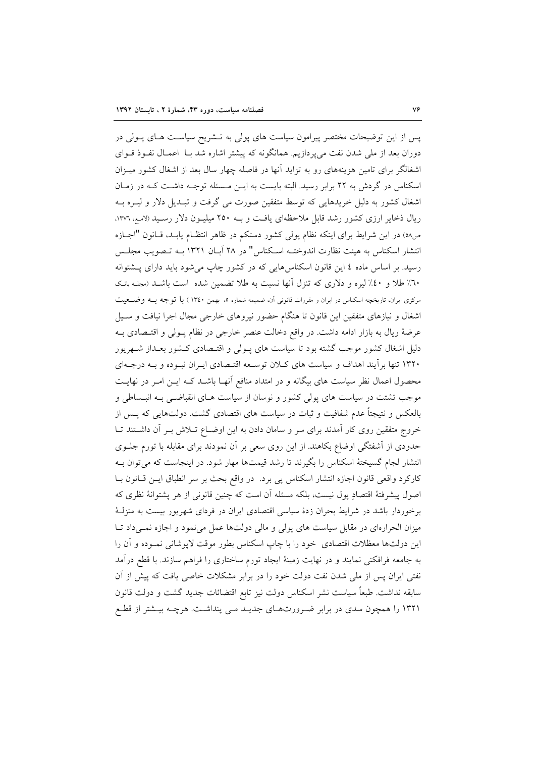پس از این توضیحات مختصر پیرامون سیاست های پولی به تـشریح سیاسـت هـای پـولی در دوران بعد از ملی شدن نفت می پردازیم. همانگونه که پیشتر اشاره شد بـا اعمـال نفـوذ قـوای اشغالگر برای تامین هزینههای رو به تزاید آنها در فاصله چهار سال بعد از اشغال کشور میـزان اسکناس در گردش به ۲۲ برابر رسید. البته بایست به ایـن مـسئله توجـه داشـت کـه در زمـان اشغال کشور به دلیل خریدهایی که توسط متفقین صورت می گرفت و تبـدیل دلار و لیـره بـه ریال ذخایر ارزی کشور رشد قابل ملاحظهای یافت و بـه ۲۵۰ میلیـون دلار رسـید (لامـع، ۱۳۷۶، ص٥٨) در اين شرايط براي اينكه نظام يولي كشور دستكم در ظاهر انتظـام يابـد، قـانون "اجـازه انتشار اسکناس به هیئت نظارت اندوختــه اســکناس" در ۲۸ آبــان ۱۳۲۱ بــه تــصویب مجلــس رسید. بر اساس ماده ٤ این قانون اسکناسهایی که در کشور چاپ می شود باید دارای پـشتوانه ٦٠٪ طلا و ٤٠٪ ليره و دلاري كه تنزل أنها نسبت به طلا تضمين شده است باشـد (مجلـه بانـك مرکزی ایران، تاریخچه اسکناس در ایران و مقررات قانونی آن، ضمیمه شماره ۵. بهمن ۱۳٤۰) با توجه بـه وضــعیت اشغال و نیازهای متفقین این قانون تا هنگام حضور نیروهای خارجی مجال اجرا نیافت و سـیل عرضهٔ ریال به بازار ادامه داشت. در واقع دخالت عنصر خارجی در نظام پـولی و اقتـصادی بـه دلیل اشغال کشور موجب گشته بود تا سیاست های پـولی و اقتـصادی کـشور بعـداز شـهریور ۱۳۲۰ تنها برأيند اهداف و سياست هاى كلان توسعه اقتصادى ايـران نبـوده و بـه درجـهاى محصول اعمال نظر سیاست های بیگانه و در امتداد منافع آنهـا باشــد کـه ایــن امــر در نهایــت موجب تشتت در سیاست های پولی کشور و نوسان از سیاست هـای انقباضـی بــه انبــساطی و بالعکس و نتیجتاً عدم شفافیت و ثبات در سیاست های اقتصادی گشت. دولتهایی که پـس از خروج متفقین روی کار آمدند برای سر و سامان دادن به این اوضـاع تـلاش بـر آن داشـتند تـا حدودی از آشفتگی اوضاع بکاهند. از این روی سعی بر آن نمودند برای مقابله با تورم جلــوی انتشار لجام گسیختهٔ اسکناس را بگیرند تا رشد قیمتها مهار شود. در اینجاست که می توان بـه كاركرد واقعى قانون اجازه انتشار اسكناس پي برد. در واقع بحث بر سر انطباق ايــن قــانون بــا اصول پیشرفتهٔ اقتصادِ پول نیست، بلکه مسئله آن است که چنین قانونی از هر پشتوانهٔ نظری که برخوردار باشد در شرایط بحران زدهٔ سیاسی اقتصادی ایران در فردای شهریور بیست به منزلـهٔ میزان الحرارهای در مقابل سیاست های پولی و مالی دولتها عمل می نمود و اجازه نمبی داد تـا این دولتها معظلات اقتصادی خود را با چاپ اسکناس بطور موقت لاپوشانی نمـوده و آن را به جامعه فرافکنی نمایند و در نهایت زمینهٔ ایجاد تورم ساختاری را فراهم سازند. با قطع درآمد نفتی ایران پس از ملی شدن نفت دولت خود را در برابر مشکلات خاصی یافت که پیش از آن سابقه نداشت. طبعاً سیاست نشر اسکناس دولت نیز تابع اقتضائات جدید گشت و دولت قانون ۱۳۲۱ را همچون سدی در برابر ضرورتهای جدیـد مـی پنداشـت. هرچـه بیـشتر از قطـع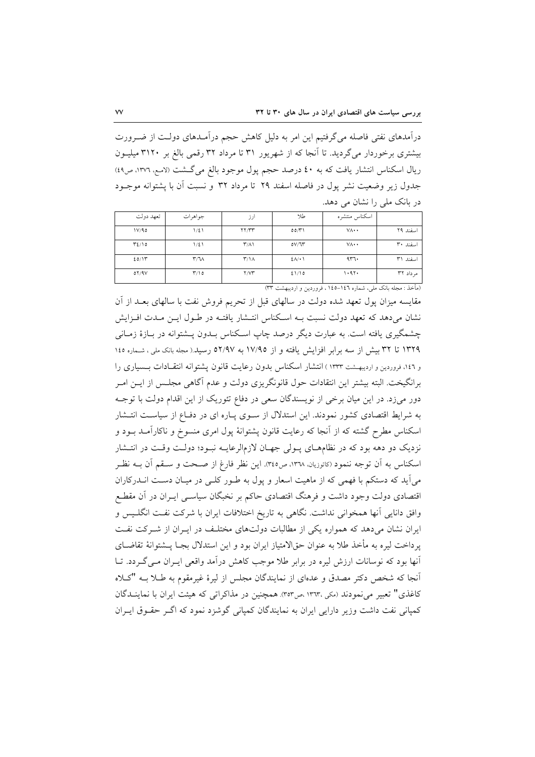درآمدهای نفتی فاصله میگرفتیم این امر به دلیل کاهش حجم درآمـدهای دولـت از ضـرورت بیشتری برخوردار می گردید. تا آنجا که از شهریور ۳۱ تا مرداد ۳۲ رقمی بالغ بر ۳۱۲۰ میلیـون ریال اسکناس انتشار یافت که به ٤٠ درصد حجم پول موجود بالغ می گشت (لامع، ١٣٧٦، ص٤٩) جدول زیر وضعیت نشر یول در فاصله اسفند ۲۹ تا مرداد ۳۲ و نسبت آن با یشتوانه موجـود در بانک ملی را نشان می دهد.

| تعهد دولت | جواهرات                      | ارز                           | طلا          | اسكناس منتشره                                                             |           |
|-----------|------------------------------|-------------------------------|--------------|---------------------------------------------------------------------------|-----------|
| 1V/90     | $1/\xi$                      | YY/YY                         | 00/Y'        | $V \wedge \cdot \cdot$                                                    | اسفند ٢٩  |
| T2/10     | $1/\xi$                      | $\Upsilon/\Lambda$            | 0V/T         | $V \wedge \cdot \cdot$                                                    | اسفند ۳۰  |
| 20/11     | $\mathsf{r}/\mathsf{v}$      | $\mathsf{r}/\mathsf{1}\wedge$ | $2\Lambda/1$ | 477.                                                                      | اسفند ٣١  |
| 01/9V     | $\mathsf{r}\wedge\mathsf{o}$ | Y/YY                          | 21/10        | 1.91.                                                                     | مر داد ۳۲ |
|           |                              |                               |              | (دأنيا وسياديات) والمستقبل والمستقبل المعارف والمدور والمحاربين والمستقبل |           |

مقایسه میزان پول تعهد شده دولت در سالهای قبل از تحریم فروش نفت با سالهای بعـد از آن نشان میدهد که تعهد دولت نسبت بـه اسکناس انتـشار یافتـه در طـول ایـن مـدت افـزایش چشمگیری یافته است. به عبارت دیگر درصد چاپ اسکناس بـدون پــشتوانه در بـازهٔ زمـانی ۱۳۲۹ تا ۳۲ بیش از سه برابر افزایش یافته و از ۱۷/۹۵ به ۵۲/۹۷ رسید.( مجله بانک ملی، شماره ۱٤٥ و ۱۶۶، فروردین و اردیبهشت ۱۳۳۳ ) انتشار اسکناس بدون رعایت قانون پشتوانه انتقادات بـسیاری را برانگیخت. البته بیشتر این انتقادات حول قانونگریزی دولت و عدم آگاهی مجلـس از ایــن امـر دور میزد. در این میان برخی از نویسندگان سعی در دفاع تئوریک از این اقدام دولت با توجـه به شرایط اقتصادی کشور نمودند. این استدلال از سـوی پـاره ای در دفـاع از سیاسـت انتـشار اسکناس مطرح گشته که از آنجا که رعایت قانون پشتوانهٔ پول امری منسوخ و ناکارآمـد بـود و نزدیک دو دهه بود که در نظامهای پـولی جهـان لازمالرعایـه نبـود؛ دولـت وقـت در انتـشار اسكناس به آن توجه ننمود (كاتوزيان، ١٣٦٨، ص٣٤٥). اين نظر فارغ از صـحت و سـقم آن بــه نظـر می آید که دستکم با فهمی که از ماهیت اسعار و پول به طـور کلـی در میـان دسـت انــدرکاران اقتصادی دولت وجود داشت و فرهنگ اقتصادی حاکم بر نخبگان سیاسبی ایـران در آن مقطـع وافق دانایی آنها همخوانی نداشت. نگاهی به تاریخ اختلافات ایران با شرکت نفت انگلـیس و ایران نشان می دهد که همواره یکی از مطالبات دولتهای مختلف در ایـران از شـرکت نفـت يرداخت ليره به مأخذ طلا به عنوان حقالامتياز ايران بود و اين استدلال بجـا يـــشتوانهٔ تقاضــاي آنها بود که نوسانات ارزش لیره در برابر طلا موجب کاهش درآمد واقعی ایـران مـی گـردد. تـا آنجا که شخص دکتر مصدق و عدهای از نمایندگان مجلس از لیرهٔ غیرمقوم به طـلا بــه "کـلاه کاغذی" تعبیر می نمودند (مکی ١٣٦٣، ص٣٥٣). همچنین در مذاکراتی که هیئت ایران با نماینـدگان کمپانی نفت داشت وزیر دارایی ایران به نمایندگان کمپانی گوشزد نمود که اگـر حقـوق ایـران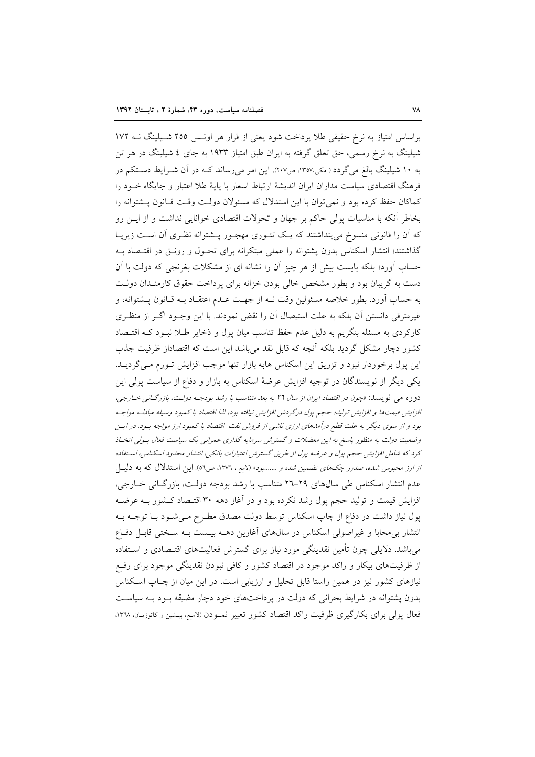براساس امتیاز به نرخ حقیقی طلا پرداخت شود یعنی از قرار هر اونـس ٢٥٥ شـیلینگ نــه ١٧٢ شیلینگ به نرخ رسمی، حق تعلق گرفته به ایران طبق امتیاز ۱۹۳۳ به جای ٤ شیلینگ در هر تن به ۱۰ شیلینگ بالغ میگردد ( مکی،۱۳۵۷، ص۲۰۷). این امر می رساند ک4 در آن شـرایط دسـتکم در فرهنگ اقتصادی سیاست مداران ایران اندیشهٔ ارتباط اسعار با پایهٔ طلا اعتبار و جایگاه خـود را كماكان حفظ كرده بود و نمي توان با اين استدلال كه مسئولان دولت وقت قبانون يــشتوانه را بخاطر آنکه با مناسبات پولی حاکم بر جهان و تحولات اقتصادی خوانایی نداشت و از ایــن رو که آن را قانونی منسوخ میپنداشتند که یک تئـوری مهجـور پــشتوانه نظـری آن اسـت زیریـا گذاشتند؛ انتشار اسکناس بدون پشتوانه را عملی مبتکرانه برای تحـول و رونــق در اقتــصاد بــه حساب آورد؛ بلکه بایست بیش از هر چیز آن را نشانه ای از مشکلات بغرنجی که دولت با آن دست به گریبان بود و بطور مشخص خالبی بودن خزانه برای پرداخت حقوق کارمنـدان دولـت به حساب آورد. بطور خلاصه مسئولین وقت نــه از جهـت عــدم اعتقــاد بــه قــانون پـــشتوانه، و غیرمترقی دانستن آن بلکه به علت استیصال آن را نقض نمودند. با این وجـود اگـر از منظـری کارکردی به مسئله بنگریم به دلیل عدم حفظ تناسب میان پول و ذخایر طـلا نبـود کـه اقتـصاد کشور دچار مشکل گردید بلکه آنچه که قابل نقد میباشد این است که اقتصاداز ظرفیت جذب این پول برخوردار نبود و تزریق این اسکناس هابه بازار تنها موجب افزایش تـورم مـیگردیــد. یکی دیگر از نویسندگان در توجیه افزایش عرضهٔ اسکناس به بازار و دفاع از سیاست پولی این دوره می نویسد: «چون در اقتصاد ایران از سال ۲۲ به بعد متناسب با رشد بودجـه دولـت، بازرگـانی خـارجی، افزايش قيمتها وافزايش توليد؛ حجم پول درگردش افزايش نيافته بود، لذا اقتصاد با كمبود وسيله مبادلـه مواجـه بود و از سوی دیگر به علت قطع درآمدهای ارزی ناشی از فروش نفت اقتصاد با کمبود ارز مواجه بود. در ایس وضعیت دولت به منظور پاسخ به این معضلات و گسترش سرمایه گذاری عمرانی یک سیاست فعال پیولی انخساذ کرد که شامل افزایش حجم پول و عرضه پول از طریق گسترش اعتبارات بانکی، انتشار محدود اسکناس، استفاده از ارز محبوس شده، ص*دور چکهای تضمین شده و .......بود*» (لامع ، ۱۳۷۲، ص۵۲). این استدلال که به دلیــل عدم انتشار اسکناس طی سال های ۲۹-۲۹ متناسب با رشد بودجه دولت، بازرگانی خـارجی، افزایش قیمت و تولید حجم پول رشد نکرده بود و در آغاز دهه ۳۰ اقتـصاد کـشور بــه عرضـه یول نیاز داشت در دفاع از چاپ اسکناس توسط دولت مصدق مطـرح مـیشـود بـا توجـه بـه انتشار بی محابا و غیراصولی اسکناس در سال۱های آغازین دهــه بیـست بــه ســختی قابــل دفــاع می باشد. دلایلی چون تأمین نقدینگی مورد نیاز برای گسترش فعالیتهای اقتـصادی و اسـتفاده از ظرفیتهای بیکار و راکد موجود در اقتصاد کشور و کافی نبودن نقدینگی موجود برای رفع نیازهای کشور نیز در همین راستا قابل تحلیل و ارزیابی است. در این میان از چـاپ اسـکناس بدون پشتوانه در شرایط بحرانی که دولت در پرداختهای خود دچار مضیقه بـود بـه سیاسـت فعال یولی برای بکارگیری ظرفیت راکد اقتصاد کشور تعبیر نمـودن (لامـع، پیـشین و کاتوزیـان، ١٣٦٨،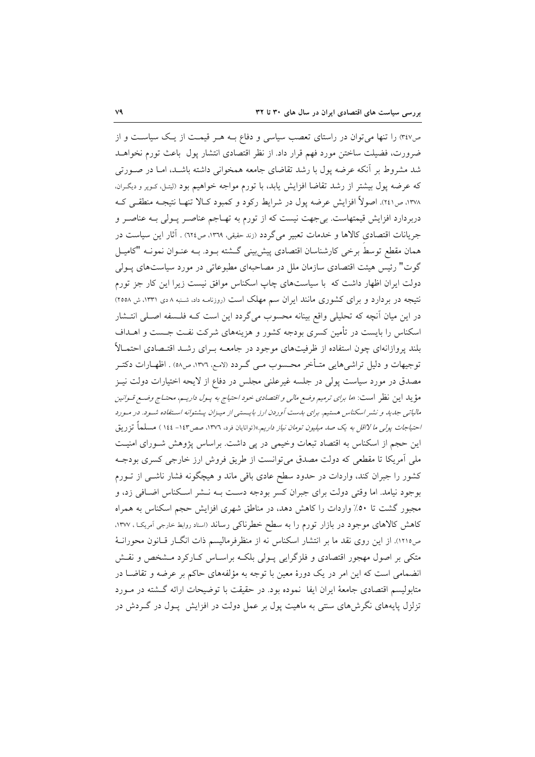ص۴۷٪ را تنها می توان در راستای تعصب سیاسی و دفاع بـه هـر قیمـت از یـک سیاسـت و از ضرورت، فضيلت ساختن مورد فهم قرار داد. از نظر اقتصادي انتشار پول باعث تورم نخواهـد شد مشروط بر أنكه عرضه پول با رشد تقاضای جامعه همخوانی داشته باشـد، امـا در صـورتی كه عرضه پول بیشتر از رشد تقاضا افزایش یابد، با تورم مواجه خواهیم بود (لیتـل، كـوپر و دیگـران، ۱۳۷۸، ص۲٤۱). اصولاً افزایش عرضه یول در شرایط رکود و کمبود کـالا تنهـا نتیجـه منطقـی کـه دربردارد افزایش قیمتهاست. بی جهت نیست که از تورم به تهـاجم عناصـر پـولی بـه عناصـر و جريانات اقتصادي كالاها و خدمات تعبير مي گردد (زند حقيقي، ١٣٦٩، ص١٢٤) . آثار اين سياست در همان مقطع توسط برخی کارشناسان اقتصادی پیش بینی گــشته بــود. بــه عنــوان نمونــه "کامیــل گوت" رئیس هیئت اقتصادی سازمان ملل در مصاحبهای مطبوعاتی در مورد سیاستهای پــولی دولت ایران اظهار داشت که با سیاستهای چاپ اسکناس موافق نیست زیرا این کار جز تورم نتیجه در بردارد و برای کشوری مانند ایران سم مهلک است (روزنامه داد، شنبه ۸دی ۱۳۳۱، ش ۲۰۵۸) در این میان آنچه که تحلیلی واقع بینانه محسوب میگردد این است کـه فلـسفه اصـلی انتـشار اسکناس را بایست در تأمین کسری بودجه کشور و هزینههای شرکت نفت جـست و اهــداف بلند پروازانهای چون استفاده از ظرفیتهای موجود در جامعــه بــرای رشــد اقتــصادی احتمــالاً توجیهات و دلیل تراشیهایی متـأخر محـسوب مـی گـردد (لامـع، ١٣٧٦، ص٥٨) . اظهـارات دکتـر مصدق در مورد سیاست پولی در جلسه غیرعلنی مجلس در دفاع از لایحه اختیارات دولت نیـز مؤيد اين نظر است: «*ما براى ترميم وضع مال<sub>ى</sub> و اقتصادى خود احتياج به پـول داريـم، محتـاج وضـع قـوانين* مالیاتی جدید و نشر اسکناس هستیم. برای بدست آوردن ارز بایستی از میـزان پـشتوانه اسـتفاده شـود. در مـورد احتی*اجات پول<sub>ی</sub> ما لااقل به یک صد میلیون تومان نیاز داریم*.»(توانایان فرد، ۱۳۷۲، صص۱٤۳– ۱٤٤ ) مسلماً تزریق این حجم از اسکناس به اقتصاد تبعات وخیمی در پی داشت. براساس پژوهش شورای امنیت ملی اَمریکا تا مقطعی که دولت مصدق میتوانست از طریق فروش ارز خارجی کسری بودجـه کشور را جبران کند، واردات در حدود سطح عادی باقی ماند و هیچگونه فشار ناشبی از تـورم بوجود نیامد. اما وقتی دولت برای جبران کسر بودجه دست بـه نـشر اسـکناس اضـافی زد، و مجبور گشت تا ٥٠٪ واردات را كاهش دهد، در مناطق شهري افزايش حجم اسكناس به همراه کاهش کالاهای موجود در بازار تورم را به سطح خطرناکی رساند (اسناد روابط خارجی آمریک) ۱۳۷۷، ص١٢١٥). از اين روى نقد ما بر انتشار اسكناس نه از منظرفرماليسم ذات انگــار قــانون محورانــهٔ متکی بر اصول مهجور اقتصادی و فلزگرایی پـولی بلکـه براسـاس کـارکرد مـشخص و نقـش انضمامی است که این امر در یک دورهٔ معین با توجه به مؤلفههای حاکم بر عرضه و تقاضـا در متابولیسم اقتصادی جامعهٔ ایران ایفا نموده بود. در حقیقت با توضیحات ارائه گـشته در مـورد تزلزل پایههای نگرشهای سنتی به ماهیت پول بر عمل دولت در افزایش پول در گـردش در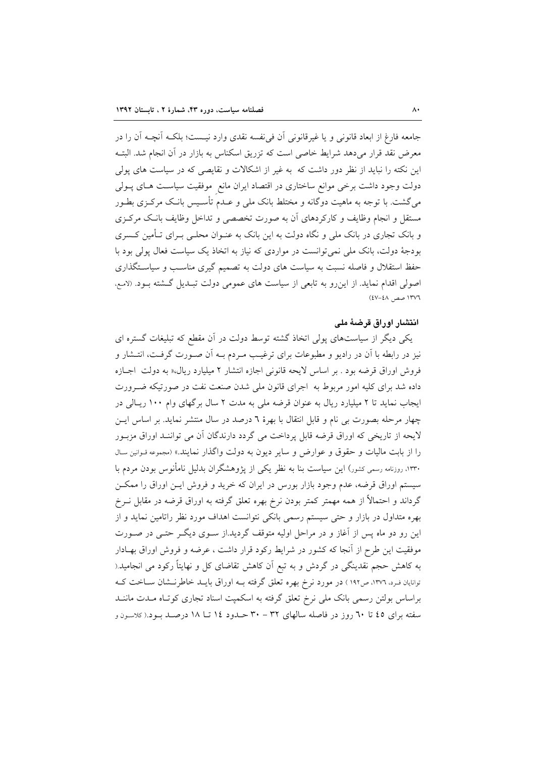جامعه فارغ از ابعاد قانونی و یا غیرقانونی آن فی نفسه نقدی وارد نیست؛ بلکـه آنچـه آن را در معرض نقد قرار میدهد شرایط خاصی است که تزریق اسکناس به بازار در آن انجام شد. البتـه این نکته را نباید از نظر دور داشت که به غیر از اشکالات و نقایصی که در سیاست های پولی دولت وجود داشت برخی موانع ساختاری در اقتصاد ایران مانع ً موفقیت سیاسـت هـای پــولی می گشت. با توجه به ماهیت دوگانه و مختلط بانک ملی و عـدم تأسـیس بانـک مرکـزی بطـور مستقل و انجام وظایف و کارکردهای آن به صورت تخصصی و تداخل وظایف بانک مرکزی و بانک تجاری در بانک ملی و نگاه دولت به این بانک به عنـوان محلـی بـرای تـأمین کـسری بودجهٔ دولت، بانک ملي نمي توانست در مواردي که نياز به اتخاذ يک سياست فعال يولي بود با حفظ استقلال و فاصله نسبت به سیاست های دولت به تصمیم گیری مناسب و سیاستگذاری اصولی اقدام نماید. از این رو به تابعی از سیاست های عمومی دولت تبـدیل گـشته بـود. (لامـم، ١٣٧٦ صص ٤٨-٤٧)

# انتشار اوراق قرضهٔ ملی

یکی دیگر از سیاستهای پولی اتخاذ گشته توسط دولت در آن مقطع که تبلیغات گستره ای نیز در رابطه با آن در رادیو و مطبوعات برای ترغیب مـردم بــه آن صــورت گرفــت، انتــشار و فروش اوراق قرضه بود . بر اساس لایحه قانونی اجازه انتشار ۲ میلیارد ریال،« به دولت اجبازه داده شد برای کلیه امور مربوط به اجرای قانون ملی شدن صنعت نفت در صورتیکه ضـرورت ایجاب نماید تا ۲ میلیارد ریال به عنوان قرضه ملی به مدت ۲ سال برگهای وام ۱۰۰ ریـالی در چهار مرحله بصورت بی نام و قابل انتقال با بهرهٔ ٦ درصد در سال منتشر نماید. بر اساس ایـن لايحه از تاريخي كه اوراق قرضه قابل پرداخت مي گردد دارندگان آن مي تواننـد اوراق مزبــور را از بابت مالیات و حقوق و عوارض و سایر دیون به دولت واگذار نمایند.» (مجموعه قـوانین سـال ۱۳۳۰، روزنامه رسمی کشور) این سیاست بنا به نظر یکی از پژوهشگران بدلیل نامأنوس بودن مردم با سیستم اوراق قرضه، عدم وجود بازار بورس در ایران که خرید و فروش ایــن اوراق را ممکــن گرداند و احتمالاً از همه مهمتر کمتر بودن نرخ بهره تعلق گرفته به اوراق قرضه در مقابل نــرخ بهره متداول در بازار و حتی سیستم رسمی بانکی نتوانست اهداف مورد نظر راتامین نماید و از این رو دو ماه پس از آغاز و در مراحل اولیه متوقف گردید.از سـوی دیگـر حتـبی در صـورت موفقیت این طرح از آنجا که کشور در شرایط رکود قرار داشت ، عرضه و فروش اوراق بهـادار به کاهش حجم نقدینگی در گردش و به تبع آن کاهش تقاضای کل و نهایتاً رکود می انجامید.( توانایان فـرد، ١٣٧٦، ص١٩٢ ) در مورد نرخ بهره تعلق گرفته بــه اوراق بایــد خاطرنــشان ســاخت کــه براساس بولتن رسمی بانک ملی نرخ تعلق گرفته به اسکمپت اسناد تجاری کوتاه مـدت ماننــد سفته برای ٤٥ تا ٦٠ روز در فاصله سالهای ٣٢ – ٣٠ حـدود ١٤ تــا ١٨ درصـد بـود.( كلاسـون و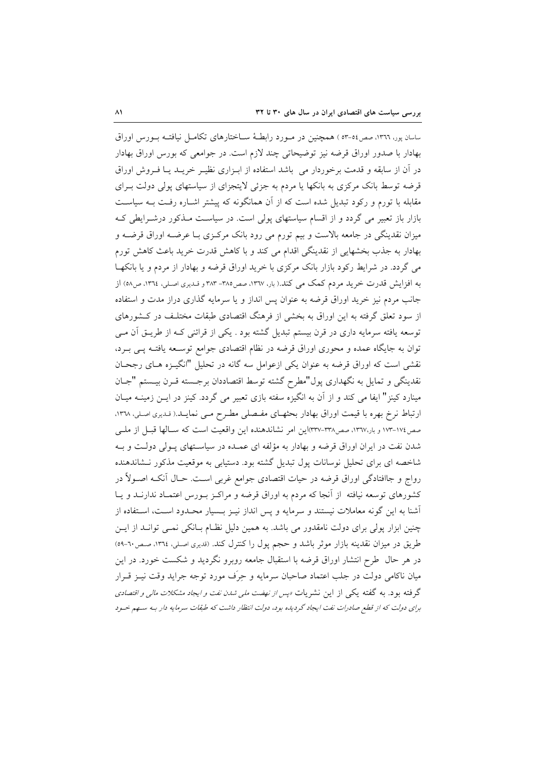ساسان پور، ١٣٦٦، صص٥٤-٥٣ ) همچنین در مـورد رابطـهٔ ســاختارهای تکامــل نیافتــه بــورس اوراق بهادار با صدور اوراق قرضه نیز توضیحاتی چند لازم است. در جوامعی که بورس اوراق بهادار در أن از سابقه و قدمت برخوردار می باشد استفاده از ابـزاری نظیـر خریـد یـا فـروش اوراق قرضه توسط بانک مرکزی به بانکها یا مردم به جزئی لایتجزای از سیاستهای پولی دولت بـرای مقابله با تورم و رکود تبدیل شده است که از آن همانگونه که پیشتر اشـاره رفـت بـه سیاسـت بازار باز تعبیر می گردد و از اقسام سیاستهای پولی است. در سیاست مـذکور درشـرایطی کـه میزان نقدینگی در جامعه بالاست و بیم تورم می رود بانک مرکـزی بـا عرضـه اوراق قرضــه و بهادار به جذب بخشهایی از نقدینگی اقدام می کند و با کاهش قدرت خرید باعث کاهش تورم می گردد. در شرایط رکود بازار بانک مرکزی با خرید اوراق قرضه و بهادار از مردم و یا بانکهـا به افزایش قدرت خرید مردم کمک می کند.( بار، ۱۳٦۷، صص۱۸۵–۳۸۳ و قـدیری اصـلی، ۱۳٦٤، ص٥٨) از جانب مردم نیز خرید اوراق قرضه به عنوان پس انداز و یا سرمایه گذاری دراز مدت و استفاده از سود تعلق گرفته به این اوراق به بخشی از فرهنگ اقتصادی طبقات مختلـف در کـشورهای توسعه یافته سرمایه داری در قرن بیستم تبدیل گشته بود . یکی از قرائنی کـه از طریــق آن مــی توان به جایگاه عمده و محوری اوراق قرضه در نظام اقتصادی جوامع توسـعه یافتـه پـی بـرد، نقشی است که اوراق قرضه به عنوان یکی ازعوامل سه گانه در تحلیل "انگیـزه هـای رجحـان نقدينگي و تمايل به نگهداري پول"مطرح گشته توسط اقتصاددان برجسته قـرن بيـستم "جـان مینارد کینز" ایفا می کند و از آن به انگیزه سفته بازی تعبیر می گردد. کینز در ایـن زمینــه میـان ارتباط نرخ بهره با قیمت اوراق بهادار بحثهـای مفـصلی مطـرح مـی نمایـد.( قـدیری اصـلی، ١٣٦٨، صص١٧٤-١٧٣ و بار١٣٦٧، صص٣٣٨-٣٣٧اين امر نشاندهنده اين واقعيت است كه سـالها قبـل از ملـي شدن نفت در ایران اوراق قرضه و بهادار به مؤلفه ای عمـده در سیاسـتهای پــولی دولــت و بــه شاخصه ای برای تحلیل نوسانات پول تبدیل گشته بود. دستیابی به موقعیت مذکور نـشاندهنده رواج و جاافتادگی اوراق قرضه در حیات اقتصادی جوامع غربی است. حـال أنکـه اصــولاً در کشورهای توسعه نیافته ًاز آنجا که مردم به اوراق قرضه و مراکـز بـورس اعتمـاد ندارنــد و يــا آشنا به این گونه معاملات نیستند و سرمایه و پس انداز نیـز بـسیار محـدود اسـت، اسـتفاده از چنین ابزار یولی برای دولت نامقدور می باشد. به همین دلیل نظـام بــانکی نمــی توانــد از ایــن طریق در میزان نقدینه بازار موثر باشد و حجم پول را کنترل کند. (قدیری اصلی، ۱۳۶٤، صص۲۰-٥٩) در هر حال طرح انتشار اوراق قرضه با استقبال جامعه روبرو نگردید و شکست خورد. در این میان ناکامی دولت در جلب اعتماد صاحبان سرمایه و حِرَف مورد توجه جراید وقت نیـز قــرار گرفته بود. به گفته یکی از این نشریات *«پس از نهضت مل<sub>ی</sub> شدن نفت و ایجاد مشکلات مال<sub>ی</sub> و اقتصادی* برای دولت که از قطع صادرات نفت ایجاد گردیده بود، دولت انتظار داشت که طبقات سرمایه دار بـه سـهم خـود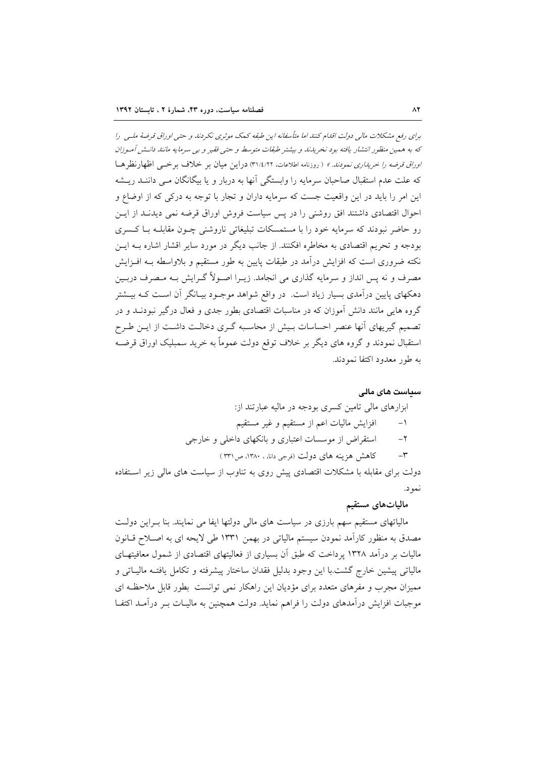برای رفع مشکلات مالی دولت اقلام کنند اما متأسفانه این طبقه کمک موثری نکردند و حتی اوراق قرضهٔ ملبی را که به همین منظور انتشار یافته بود نخریدند و بیشتر طبقات متوسط و حتی فقیر و بی سرمایه مانند دانـش آمـوزان *اوراق قرضه را خریداری نمودند. »* ( روزنامه اطلاعات، ۳۱/٤/۲۲) دراین میان بر خلاف بر خبی اظهارنظر هـا که علت عدم استقبال صاحبان سرمایه را وابستگی آنها به دربار و یا بیگانگان مـی داننــد ریــشه این امر را باید در این واقعیت جست که سرمایه داران و تجار با توجه به درکی که از اوضاع و احوال اقتصادی داشتند افق روشنی را در پس سیاست فروش اوراق قرضه نمی دیدنـد از ایـن رو حاضر نبودند که سرمایه خود را با مستمسکات تبلیغاتی ناروشنی چـون مقابلـه بـا کـسری بودجه و تحریم اقتصادی به مخاطره افکنند. از جانب دیگر در مورد سایر اقشار اشاره بـه ایــن نکته ضروری است که افزایش درآمد در طبقات پایین به طور مستقیم و بلاواسطه بـه افـزایش مصرف و نه پس انداز و سرمایه گذاری می انجامد. زیــرا اصــولاً گــرایش بــه مــصرف دربــین دهکهای پایین درآمدی بسیار زیاد است. در واقع شواهد موجـود بیـانگر آن اسـت کـه بیــشتر گروه هایی مانند دانش آموزان که در مناسبات اقتصادی بطور جدی و فعال درگیر نبودنــد و در تصمیم گیریهای أنها عنصر احساسات بـیش از محاسـبه گـری دخالـت داشـت از ایــن طـرح استقبال نمودند و گروه های دیگر بر خلاف توقع دولت عموماً به خرید سمبلیک اوراق قرضـه به طور معدود اکتفا نمودند.

## سىياست ھاي مالے

## ابزارهای مالی تامین کسری بودجه در مالیه عبارتند از: افزایش مالیات اعم از مستقیم و غیر مستقیم  $-1$ استقراض از موسسات اعتباری و بانکهای داخلی و خارجی  $-\tau$ کاهش هزینه های دولت (فرجی دانا، ۱۳۸۰، ص۳۳۱)  $-\tau$

دولت برای مقابله با مشکلات اقتصادی پیش روی به تناوب از سیاست های مالی زیر استفاده نمو د.

## مالياتهاى مستقيم

مالیاتهای مستقیم سهم بارزی در سیاست های مالی دولتها ایفا می نمایند. بنا بـراین دولـت مصدق به منظور کارآمد نمودن سیستم مالیاتی در بهمن ۱۳۳۱ طی لایحه ای به اصـلاح قـانون مالیات بر درآمد ۱۳۲۸ پرداخت که طبق آن بسیاری از فعالیتهای اقتصادی از شمول معافیتهـای مالياتي پيشين خارج گشت.با اين وجود بدليل فقدان ساختار پيشرفته و تكامل يافتـه ماليــاتي و ممیزان مجرب و مفرهای متعدد برای مؤدیان این راهکار نمی توانست بطور قابل ملاحظـه ای موجبات افزایش درآمدهای دولت را فراهم نماید. دولت همچنین به مالیـات بــر درآمــد اکتفــا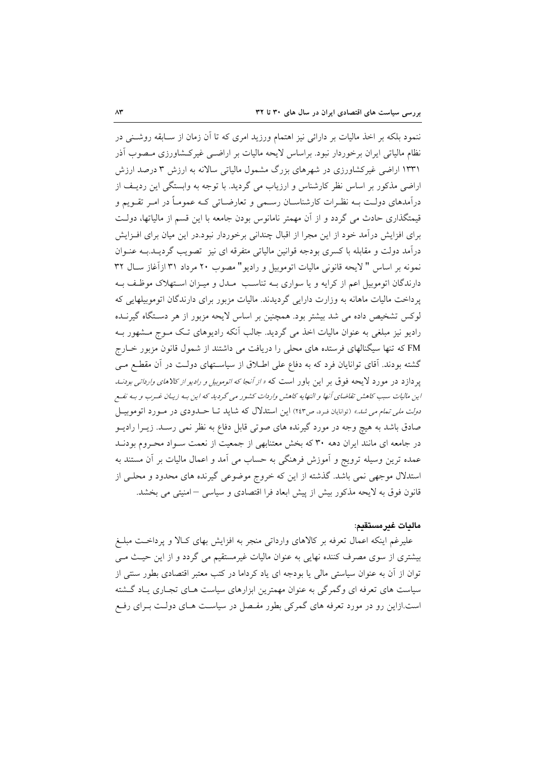ننمود بلکه بر اخذ مالیات بر دارائی نیز اهتمام ورزید امری که تا اَن زمان از ســابقه روشــنی در نظام مالیاتی ایران برخوردار نبود. براساس لایحه مالیات بر اراضـی غیرکـشاورزی مـصوب آذر ۱۳۳۱ اراضی غیرکشاورزی در شهرهای بزرگ مشمول مالیاتی سالانه به ارزش ۳ درصد ارزش اراضی مذکور بر اساس نظر کارشناس و ارزیاب می گردید. با توجه به وابستگی این ردیـف از درآمدهای دولـت بــه نظـرات کارشناســان رســمی و تعارضــاتی کــه عمومـاً در امــر تقــویـم و قیمتگذاری حادث می گردد و از آن مهمتر نامانوس بودن جامعه با این قسم از مالیاتها، دولت برای افزایش درآمد خود از این مجرا از اقبال چندانی برخوردار نبود.در این میان برای افـزایش درآمد دولت و مقابله با کسری بودجه قوانین مالیاتی متفرقه ای نیز تصویب گردیــد.بــه عنــوان نمونه بر اساس " لايحه قانوني ماليات اتوموبيل و راديو" مصوب ٢٠ مرداد ٣١ ازآغاز سـال ٣٢ دارندگان اتوموبیل اعم از کرایه و یا سواری بـه تناسـب ٍ مـدل و میـزان اسـتهلاک موظـف بـه یرداخت مالیات ماهانه به وزارت دارایی گردیدند. مالیات مزبور برای دارندگان اتوموبیلهایی که لوکس تشخیص داده می شد بیشتر بود. همچنین بر اساس لایحه مزبور از هر دسـتگاه گیرنــده رادیو نیز مبلغی به عنوان مالیات اخذ می گردید. جالب آنکه رادیوهای تک مـوج مـشهور بـه FM که تنها سیگنالهای فرستده های محلی را دریافت می داشتند از شمول قانون مزبور خـارج گشته بودند. آقای توانایان فرد که به دفاع علی اطلاق از سیاسـتهای دولـت در آن مقطـع مـی یر دازد در مورد لایحه فوق بر این باور است که *« از آنجا که اتوموبیل و رادیو از کالاهای وارداتی بودن* این مالیات سبب کاهش تقاضای آنها و النهایه کاهش واردات کشور می گردید که این بـه زیـان غـرب و بـه نفـع *دولت ملی تمام می شد.»* (توانایان فـرد، ص۲٤۳) این استدلال که شاید تـا حــدودی در مــورد اتوموبیــل صادق باشد به هیچ وجه در مورد گیرنده های صوتی قابل دفاع به نظر نمی رسـد. زیــرا رادیــو در جامعه ای مانند ایران دهه ۳۰ که بخش معتنابهی از جمعیت از نعمت سـواد محـروم بودنـد عمده ترین وسیله ترویج و آموزش فرهنگی به حساب می آمد و اعمال مالیات بر آن مستند به استدلال موجهی نمی باشد. گذشته از این که خروج موضوعی گیرنده های محدود و محلبی از قانون فوق به لایحه مذکور بیش از پیش ابعاد فرا اقتصادی و سیاسی –امنیتی می بخشد.

# ماليات غيرمستقيم:

علیرغم اینکه اعمال تعرفه بر کالاهای وارداتی منجر به افزایش بهای کـالا و پرداخـت مبلــغ بیشتری از سوی مصرف کننده نهایی به عنوان مالیات غیرمستقیم می گردد و از این حیث مـی توان از آن به عنوان سیاستی مالی یا بودجه ای یاد کرداما در کتب معتبر اقتصادی بطور سنتی از سیاست های تعرفه ای وگمرگی به عنوان مهمترین ابزارهای سیاست هـای تجـاری پـاد گــشته است.ازاین رو در مورد تعرفه های گمرکی بطور مفـصل در سیاسـت هـای دولـت بـرای رفـع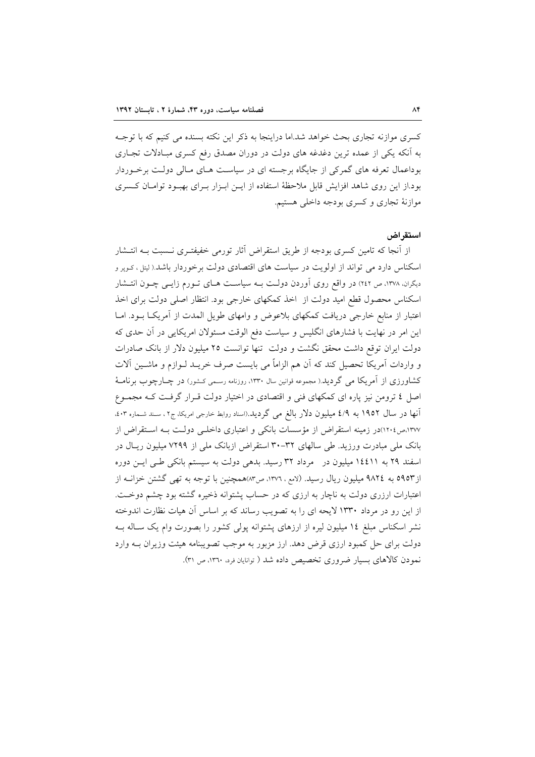کسری موازنه تجاری بحث خواهد شد.اما دراینجا به ذکر این نکته بسنده می کنیم که با توجـه به آنکه یکی از عمده ترین دغدغه های دولت در دوران مصدق رفع کسری مبـادلات تجـاری بوداعمال تعرفه های گمرکی از جایگاه برجسته ای در سیاست هـای مـالی دولـت برخـوردار بود.از این روی شاهد افزایش قابل ملاحظهٔ استفاده از ایــن ابـزار بــرای بهبــود توامــان کـسری موازنهٔ تجاری و کسری بودجه داخلی هستیم.

## استقر اض

از آنجا که تامین کسری بودجه از طریق استقراض آثار تورمی خفیفتـری نــسبت بــه انتــشار اسکناس دارد می تواند از اولویت در سیاست های اقتصادی دولت برخوردار باشد.( لیتل، کـوپر و دیگران، ۱۳۷۸، ص ۲٤۲) در واقع روی آوردن دولت بـه سیاسـت هـای تـورم زایـی چـون انتـشار اسکناس محصول قطع امید دولت از اخذ کمکهای خارجی بود. انتظار اصلی دولت برای اخذ اعتبار از منابع خارجی دریافت کمکهای بلاعوض و وامهای طویل المدت از آمریکـا بــود. امــا این امر در نهایت با فشارهای انگلیس و سیاست دفع الوقت مسئولان امریکایی در آن حدی که دولت ایران توقع داشت محقق نگشت و دولت تنها توانست ۲۵ میلیون دلار از بانک صادرات و واردات آمریکا تحصیل کند که آن هم الزاماً می بایست صرف خریــد لــوازم و ماشــین اَلات کشاورزی از آمریکا می گردید.( مجموعه قوانین سال ۱۳۳۰، روزنامه رسمی کـشور) در چــارچوب بر نامــهٔ اصل ٤ ترومن نیز پاره ای کمکهای فنی و اقتصادی در اختیار دولت قـرار گرفـت کـه مجمـوع آنها در سال ۱۹۵۲ به ٤/٩ میلیون دلار بالغ می گردید.(اسناد روابط خارجی امریکا، ج۲، سـند شـماره ٤٠٣، ۱۳۷۷،ص۱۲۰٤)در زمینه استقراض از مؤسسات بانکی و اعتباری داخلـی دولـت بـه اسـتقراض از بانک ملی مبادرت ورزید. طی سالهای ۳۲-۳۰ استقراض ازبانک ملی از ۷۲۹۹ میلیون ریـال در اسفند ۲۹ به ۱٤٤١۱ میلیون در مرداد ۳۲ رسید. بدهی دولت به سیستم بانکی طبی ایس دوره از ٥٩٥٣ به ٩٨٢٤ ميليون ريال رسيد. (لامع، ١٣٧٦، ص١٣٧همچنين با توجه به تهي گشتن خزانــه از اعتبارات ارزری دولت به ناچار به ارزی که در حساب پشتوانه ذخیره گشته بود چشم دوخـت. از این رو در مرداد ۱۳۳۰ لایحه ای را به تصویب رساند که بر اساس آن هیات نظارت اندوخته نشر اسکناس مبلغ ۱۶ میلیون لیره از ارزهای پشتوانه پولی کشور را بصورت وام یک سـاله بـه دولت برای حل کمبود ارزی قرض دهد. ارز مزبور به موجب تصویبنامه هیئت وزیران بــه وارد نمودن کالاهای بسیار ضروری تخصیص داده شد ( توانایان فرد، ۱۳٦۰، ص ۳۱).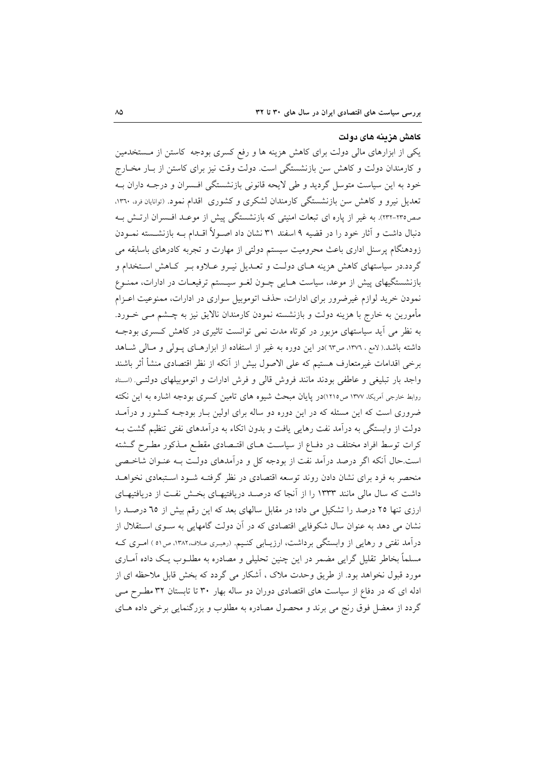#### كاهش هزينه هاى دولت

یکی از ابزارهای مالی دولت برای کاهش هزینه ها و رفع کسری بودجه کاستن از مـستخدمین و کارمندان دولت و کاهش سن بازنشستگی است. دولت وقت نیز برای کاستن از بـار مخـارج خود به این سیاست متوسل گردید و طی لایحه قانونی بازنشستگی افسران و درجـه داران بـه تعدیل نیرو و کاهش سن بازنشستگی کارمندان لشکری و کشوری اقدام نمود. (توانایان فرد، ۱۳۶۰، صص٢٣٥-٢٣٢). به غير از پاره اي تبعات امنيتي كه بازنشستگي پيش از موعـد افـسران ارتـش بـه دنبال داشت و آثار خود را در قضیه ۹ اسفند ۳۱ نشان داد اصـولاً اقــدام بــه بازنشــسته نمــودن زودهنگام پرسنل اداری باعث محرومیت سیستم دولتی از مهارت و تجربه کادرهای باسابقه می گردد.در سیاستهای کاهش هزینه هـای دولـت و تعـدیل نیـرو عـلاوه بـر کـاهش اسـتخدام و بازنشستگیهای پیش از موعد، سیاست هـایی چـون لغـو سیـستم ترفیعـات در ادارات، ممنـوع نمودن خرید لوازم غیرضرور برای ادارات، حذف اتوموبیل سواری در ادارات، ممنوعیت اعـزام مأمورین به خارج با هزینه دولت و بازنشسته نمودن کارمندان نالایق نیز به چـشم مـی خــورد. به نظر می آید سیاستهای مزبور در کوتاه مدت نمی توانست تاثیری در کاهش کسری بودجـه داشته باشد.( لامع ، ۱۳۷۲، ص٦٣)در این دوره به غیر از استفاده از ابزارهـای پـولی و مـالی شـاهد برخي اقدامات غيرمتعارف هستيم كه على الاصول بيش از آنكه از نظر اقتصادى منشأ أثر باشند واجد بار تبليغي و عاطفي بودند مانند فروش قالي و فرش ادارات و اتوموبيلهاي دولتبي. (اسناد روابط خارجی آمریکا، ۱۳۷۷ ص۱۲۱۵)در پایان مبحث شیوه های تامین کسری بودجه اشاره به این نکته ضروری است که این مسئله که در این دوره دو ساله برای اولین بـار بودجــه کــشور و درآمــد دولت از وابستگی به درآمد نفت رهایی یافت و بدون اتکاء به درآمدهای نفتی تنظیم گشت بـه کرات توسط افراد مختلف در دفـاع از سیاسـت هـای اقتـصادی مقطـع مـذکور مطـرح گــشته است.حال آنکه اگر درصد درآمد نفت از بودجه کل و درآمدهای دولت بـه عنـوان شاخـصی منحصر به فرد برای نشان دادن روند توسعه اقتصادی در نظر گرفتـه شـود اسـتبعادی نخواهـد داشت که سال مالی مانند ۱۳۳۳ را از آنجا که درصـد دریافتیهـای بخـش نفـت از دریافتیهـای ارزی تنها ۲۵ درصد را تشکیل می داد؛ در مقابل سالهای بعد که این رقم بیش از ٦٥ درصـد را نشان می دهد به عنوان سال شکوفایی اقتصادی که در آن دولت گامهایی به سـوی اسـتقلال از درآمد نفتی و رهایی از وابستگی برداشت، ارزیــابی کنـیم. (رمبـری عـلاف،۱۳۸۲، ص٥١) امـری کــه مسلماً بخاطر تقلیل گرایی مضمر در این چنین تحلیلی و مصادره به مطلـوب یـک داده آمـاری مورد قبول نخواهد بود. از طریق وحدت ملاک ، آشکار می گردد که بخش قابل ملاحظه ای از ادله ای که در دفاع از سیاست های اقتصادی دوران دو ساله بهار ۳۰ تا تابستان ۳۲ مطرح مـی گردد از معضل فوق رنج می برند و محصول مصادره به مطلوب و بزرگنمایی برخی داده هـای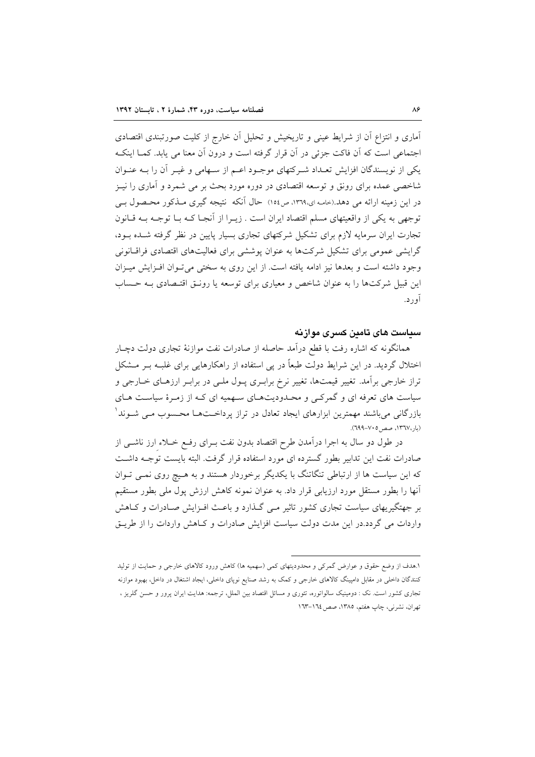آماری و انتزاع آن از شرایط عینی و تاریخیش و تحلیل آن خارج از کلیت صورتبندی اقتصادی اجتماعی است که اَن فاکت جزئی در اَن قرار گرفته است و درون اَن معنا می پابد. کمـا اینکـه یکی از نویسندگان افزایش تعـداد شـرکتهای موجـود اعـم از سـهامی و غیـر آن را بــه عنـوان شاخصی عمده برای رونق و توسعه اقتصادی در دوره مورد بحث بر می شمرد و آماری را نیـز در این زمینه ارائه می دهد.(خامه ای،۱۳٦۹، ص۱٥٤) حال آنکه نتیجه گیری مـذکور محـصول بـی توجهی به یکی از واقعیتهای مسلم اقتصاد ایران است . زیـرا از آنجـا کـه بـا توجـه بـه قـانون تجارت ایران سرمایه لازم برای تشکیل شرکتهای تجاری بسیار پایین در نظر گرفته شـده بـود، گرایشی عمومی برای تشکیل شرکتها به عنوان پوششی برای فعالیتهای اقتصادی فراقیانونی وجود داشته است و بعدها نیز ادامه یافته است. از این روی به سختی می توان افزایش میـزان این قبیل شرکتها را به عنوان شاخص و معیاری برای توسعه یا رونـق اقتـصادی بـه حـساب آور د.

## سياست های تامين کسری موازنه

همانگونه که اشاره رفت با قطع درآمد حاصله از صادرات نفت موازنهٔ تجاری دولت دچـار اختلال گردید. در این شرایط دولت طبعاً در پی استفاده از راهکارهایی برای غلبـه بـر مـشکل تراز خارجی برآمد. تغییر قیمتها، تغییر نرخ برابـری پـول ملـی در برابـر ارزهـای خــارجی و سیاست های تعرفه ای و گمرکبی و محـدودیتهـای سـهمیه ای کـه از زمـرهٔ سیاسـت هـای بازرگانی میباشند مهمترین ابزارهای ایجاد تعادل در تراز پرداخــتهــا محــسوب مــی شــوند ْ (بار،١٣٦٧، صص ٧٠٥-٢٩٩٩).

در طول دو سال به اجرا درآمدن طرح اقتصاد بدون نفت بـرای رفـع خـلاء ارز ناشــی از صادرات نفت این تدابیر بطور گسترده ای مورد استفاده قرار گرفت. البته بایست توجـه داشـت که این سیاست ها از ارتباطی تنگاتنگ با یکدیگر برخوردار هستند و به هـیچ روی نمـی تـوان آنها را بطور مستقل مورد ارزیابی قرار داد. به عنوان نمونه کاهش ارزش پول مل<sub>ی</sub> بطور مستقیم بر جهتگیریهای سیاست تجاری کشور تاثیر مبی گـذارد و باعـث افـزایش صـادرات و کــاهش واردات می گردد.در این مدت دولت سیاست افزایش صادرات و کـاهش واردات را از طریـق

۱.هدف از وضع حقوق و عوارض گمرکی و محدودیتهای کمی (سهمیه ها) کاهش ورود کالاهای خارجی و حمایت از تولید کنندگان داخلی در مقابل دامپینگ کالاهای خارجی و کمک به رشد صنایع نوپای داخلی، ایجاد اشتغال در داخل، بهبود موازنه تجاری کشور است. نک : دومینیک سالواتوره، تئوری و مسائل اقتصاد بین الملل، ترجمه: هدایت ایران پرور و حسن گلریز ، تهران، نشرنی، چاپ هفتم، ١٣٨٥، صص ١٦٤-١٦٣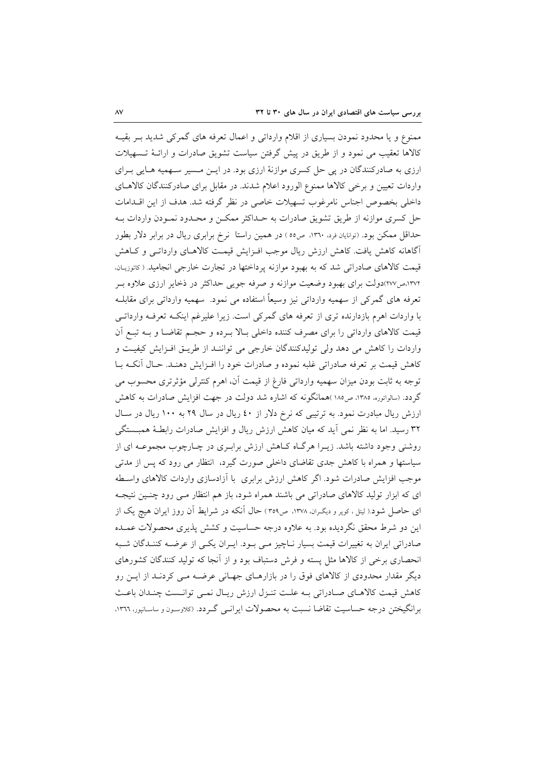ممنوع و یا محدود نمودن بسیاری از اقلام وارداتی و اعمال تعرفه های گمرکی شدید بـر بقیـه کالاها تعقیب می نمود و از طریق در پیش گرفتن سیاست تشویق صادرات و ارائـهٔ تـسهیلات ارزی به صادرکنندگان در پی حل کسری موازنهٔ ارزی بود. در ایــن مــسیر ســهمیه هــایی بــرای واردات تعیین و برخی کالاها ممنوع الورود اعلام شدند. در مقابل برای صادرکنندگان کالاهای داخلی بخصوص اجناس نامرغوب تسهیلات خاصی در نظر گرفته شد. هدف از این اقــدامات حل کسری موازنه از طریق تشویق صادرات به حـداکثر ممکـن و محـدود نمـودن واردات بـه حداقل ممکن بود. (توانایان فرد، ١٣٦٠، ص٥٥) در همین راستا نرخ برابری ریال در برابر دلار بطور آگاهانه کاهش یافت. کاهش ارزش ریال موجب افـزایش قیمـت کالاهـای وارداتـی و کـاهش قیمت کالاهای صادراتی شد که به بهبود موازنه پرداختها در تجارت خارجی انجامید. ( کاتوزیان، ۱۳۷۲،ص۲۷۷)دولت برای بهبود وضعیت موازنه و صرفه جویبی حداکثر در ذخایر ارزی علاوه بـر تعرفه هاي گمرکي از سهميه وارداتي نيز وسيعاً استفاده مي نمود. سهميه وارداتي براي مقابلـه با واردات اهرم بازدارنده تری از تعرفه های گمرکی است. زیرا علیرغم اینکـه تعرفـه وارداتـی قیمت کالاهای وارداتی را برای مصرف کننده داخلی بـالا بـرده و حجـم تقاضـا و بـه تبـع آن واردات را کاهش می دهد ولی تولیدکنندگان خارجی می تواننـد از طریـق افـزایش کیفیـت و كاهش قيمت بر تعرفه صادراتي غلبه نموده و صادرات خود را افـزايش دهنـد. حـال آنكـه بـا توجه به ثابت بودن میزان سهمیه وارداتی فارغ از قیمت آن، اهرم کنترلی مؤثرتری محسوب می گردد. (سالوانوره، ۱۳۸۵، ص۱۸۵)همانگونه که اشاره شد دولت در جهت افزایش صادرات به کاهش ارزش ریال مبادرت نمود. به ترتیبی که نرخ دلار از ٤٠ ریال در سال ٢٩ به ١٠٠ ریال در سـال ۳۲ رسید. اما به نظر نمی آید که میان کاهش ارزش ریال و افزایش صادرات رابطـهٔ همبــستگی روشنی وجود داشته باشد. زیـرا هرگـاه کـاهش ارزش برابـری در چـارچوب مجموعــه ای از سیاستها و همراه با کاهش جدی تقاضای داخلی صورت گیرد، انتظار می رود که پس از مدتی موجب افزایش صادرات شود. اگر کاهش ارزش برابری با آزادسازی واردات کالاهای واسطه ای که ابزار تولید کالاهای صادراتی می باشند همراه شود، باز هم انتظار مـی رود چنـین نتیجـه ای حاصل شود.( لیتل، کوپر و دیگـران، ۱۳۷۸، ص۳٥۹) حال آنکه در شرایط آن روز ایران هیچ یک از این دو شرط محقق نگردیده بود. به علاوه درجه حساسیت و کشش پذیری محصولات عمـده صادراتی ایران به تغییرات قیمت بسیار نـاچیز مـی بـود. ایـران یکـی از عرضـه کننـدگان شـبه انحصاری برخی از کالاها مثل پسته و فرش دستباف بود و از آنجا که تولید کنندگان کشورهای دیگر مقدار محدودی از کالاهای فوق را در بازارهـای جهـانی عرضـه مـی کردنـد از ایـن رو كاهش قيمت كالاهاي صادراتي بـه علت تنـزل ارزش ريـال نمـي توانـست چنـدان باعـث برانگیختن درجه حساسیت تقاضا نسبت به محصولات ایرانسی گـردد. (کلاوسـون و ساسـانیور، ۱۳۶۲،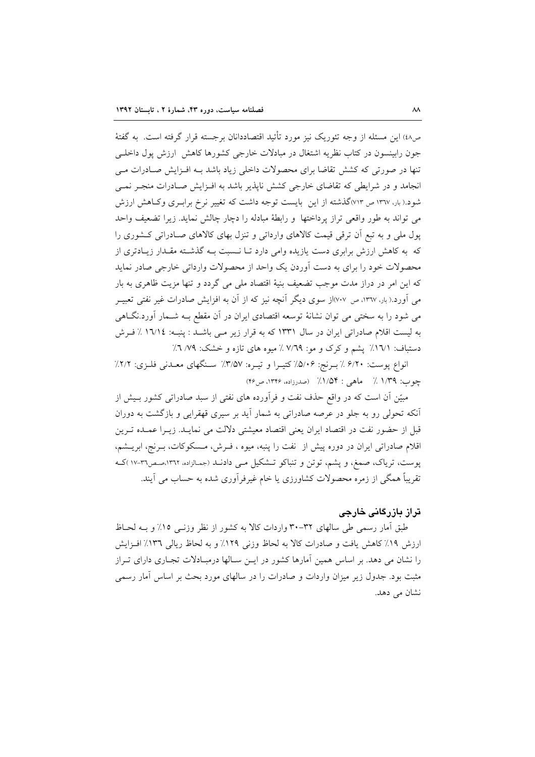ص٤٨) این مسئله از وجه تئوریک نیز مورد تأئید اقتصاددانان برجسته قرار گرفته است. به گفتهٔ جون رابینسون در کتاب نظریه اشتغال در مبادلات خارجی کشورها کاهش ارزش پول داخلبی تنها در صورتی که کشش تقاضا برای محصولات داخلی زیاد باشد بـه افـزایش صـادرات مـی انجامد و در شرایطی که تقاضای خارجی کشش ناپذیر باشد به افـزایش صـادرات منجـر نمـی شود.(بار، ۱۳٦۷ ص ۷۱۳)گذشته از این بایست توجه داشت که تغییر نرخ برابـری وکاهش ارزش می تواند به طور واقعی تراز پرداختها و رابطهٔ مبادله را دچار چالش نماید. زیرا تضعیف واحد یول ملی و به تبع اَن ترقی قیمت کالاهای وارداتی و تنزل بهای کالاهای صـادراتی کـشوری را که به کاهش ارزش برابری دست یازیده وامی دارد تـا نـسبت بـه گذشـته مقـدار زیـادتری از محصولات خود را برای به دست آوردن یک واحد از محصولات وارداتی خارجی صادر نماید که این امر در دراز مدت موجب تضعیف بنیهٔ اقتصاد ملی می گردد و تنها مزیت ظاهری به بار می اَورد.( بار، ۱۳٦۷، ص ۷۰۷)از سوی دیگر اَنچه نیز که از اَن به افزایش صادرات غیر نفتی تعبیــر می شود را به سختی می توان نشانهٔ توسعه اقتصادی ایران در اَن مقطع بــه شــمار اَورد.نگــاهی به لیست اقلام صادراتی ایران در سال ۱۳۳۱ که به قرار زیر مـی باشـد : پنبـه: ۱٦/١٤ ٪ فـرش دستباف: ١٦/١٪ پشم و كرك و مو: ٧/٦٩٪ ميوه هاى تازه و خشك: ٧/٦٪

انواع پوست: ۶/۲۰ ٪ بـرنج: ۵/۰۶٪ کتیـرا و تیـره: ۳/۵۷٪ سـنگهای معـدنی فلـزی: ۲/۲٪ چوب: ۱/۳۹٪ ماهی : ۱/۵۴٪ (صدرزاده، ۱۳۴۶، ص۴۶)

مبیّن آن است که در واقع حذف نفت و فرآورده های نفتی از سبد صادراتی کشور بـیش از آنکه تحولی رو به جلو در عرصه صادراتی به شمار آید بر سیری قهقرایی و بازگشت به دوران قبل از حضور نفت در اقتصاد ايران يعني اقتصاد معيشتي دلالت مي نمايـد. زيــرا عمــده تــرين اقلام صادراتی ایران در دوره پیش از نفت را پنبه، میوه ، فـرش، مـسکوکات، بـرنج، ابریــشم، یوست، تریاک، صمغ، و پشم، توتن و تنباکو تـشکیل مـی دادنــد (جمـالزاده، ١٣٦٢،صـص٣٦-١٧ )کـه تقریباً همگی از زمره محصولات کشاورزی یا خام غیرفرآوری شده به حساب می آیند.

# تراز پازرگانی خارجی

طبق اَمار رسمی طی سالهای ۳۲-۳۰ واردات کالا به کشور از نظر وزنـبی ۱۵٪ و بــه لحــاظ ارزش ١٩٪ كاهش يافت و صادرات كالا به لحاظ وزنى ١٢٩٪ و به لحاظ ريالي ١٣٦٪ افـزايش را نشان می دهد. بر اساس همین آمارها کشور در ایـن سـالها درمبـادلات تجـاری دارای تـراز مثبت بود. جدول زیر میزان واردات و صادرات را در سالهای مورد بحث بر اساس آمار رسمی نشان می دهد.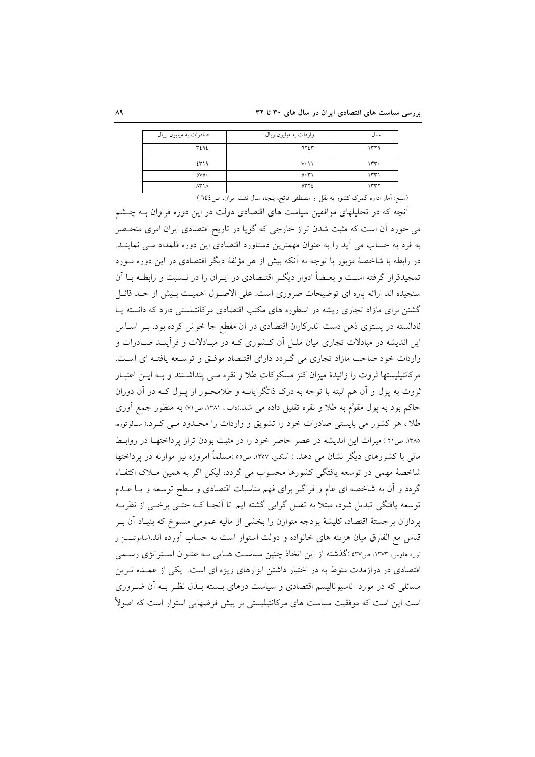| صادرات به میلیون ریال | واردات به میلیون ریال | سال       |
|-----------------------|-----------------------|-----------|
| ٣٤٩٤                  | ٦٢٤٣                  | ۱۳۲۹      |
| ٤٣١٩                  | $V \cdot \cup$        | 15.       |
| 0V0                   | 0.71                  | ۱۳۳۱      |
| $\Lambda$ r $\Lambda$ | ٥٣٢٤                  | ١٣٣٢<br>- |

(منبع: آمار اداره گمرک کشور به نقل از مصطفی فاتح، پنجاه سال نفت ایران، ص1٤٤ )

آنچه که در تحلیلهای موافقین سیاست های اقتصادی دولت در این دوره فراوان بـه چــشم می خورد آن است که مثبت شدن تراز خارجی که گویا در تاریخ اقتصادی ایران امری منحـصر به فرد به حساب می آید را به عنوان مهمترین دستاورد اقتصادی این دوره قلمداد مبی نماینــد. در رابطه با شاخصهٔ مزبور با توجه به آنکه بیش از هر مؤلفهٔ دیگر اقتصادی در این دوره مـورد تمجیدقرار گرفته اسـت و بعـضاً ادوار دیگـر اقتـصادی در ایـران را در نــسبت و رابطـه بــا اَن سنجیده اند ارائه پاره ای توضیحات ضروری است. علی الاصـول اهمیـت بـیش از حـد قائـل گشتن برای مازاد تجاری ریشه در اسطوره های مکتب اقتصادی مرکانتیلستی دارد که دانسته پیا نادانسته در پستوی ذهن دست اندرکاران اقتصادی در آن مقطع جا خوش کرده بود. بـر اسـاس این اندیشه در مبادلات تجاری میان ملـل آن کـشوری کـه در مبـادلات و فرآینـد صـادرات و واردات خود صاحب مازاد تجاري مي گردد داراي اقتـصاد موفـق و توسـعه يافتـه اي اسـت. مرکانتیلیستها ثروت را زائیدهٔ میزان کنز مسکوکات طلا و نقره مبی پنداشتند و بـه ایـن اعتبـار ثروت به پول و آن هم البته با توجه به درک ذاتگرایانــه و طلامحــور از پــول کــه در آن دوران حاکم بود به یول مقوَّم به طلا و نقره تقلیل داده می شد.(داب، ۱۳۸۱، ص۷۱) به منظور جمع آوری طلا ، هر كشور مى بايستى صادرات خود را تشويق و واردات را محـدود مـى كـرد.( سالواتوره، ۱۳۸۵، ص۲۱) میراث این اندیشه در عصر حاضر خود را در مثبت بودن تراز پرداختها در روابط مالی با کشورهای دیگر نشان می دهد. ( آنیکین، ۱۳۵۷، ص٥٥ )مسلماً امروزه نیز موازنه در یرداختها شاخصهٔ مهمی در توسعه یافتگی کشورها محسوب می گردد، لیکن اگر به همین مـلاک اکتفـاء گردد و آن به شاخصه ای عام و فراگیر برای فهم مناسبات اقتصادی و سطح توسعه و یـا عــدم توسعه یافتگی تبدیل شود، مبتلا به تقلیل گرایی گشته ایم. تا آنجـا کـه حتـی برخـی از نظریــه یردازان برجستهٔ اقتصاد، کلیشهٔ بودجه متوازن را بخشی از مالیه عمومی منسوخ که بنیـاد آن بـر قیاس مع الفارق میان هزینه های خانواده و دولت استوار است به حساب آورده اند.(ساموئلسن و نورد هاوس، ۱۳۷۳، ص۵۳۷ )گذشته از این اتخاذ چنین سیاست هـایی بــه عنــوان اسـتراتژی رســمی اقتصادی در درازمدت منوط به در اختیار داشتن ابزارهای ویژه ای است. یکی از عمـده تـرین مسائلی که در مورد ناسیونالیسم اقتصادی و سیاست درهای بـسته بـذل نظـر بــه آن ضــروری است این است که موفقیت سیاست های مرکانتیلیستی بر پیش فرضهایی استوار است که اصولاً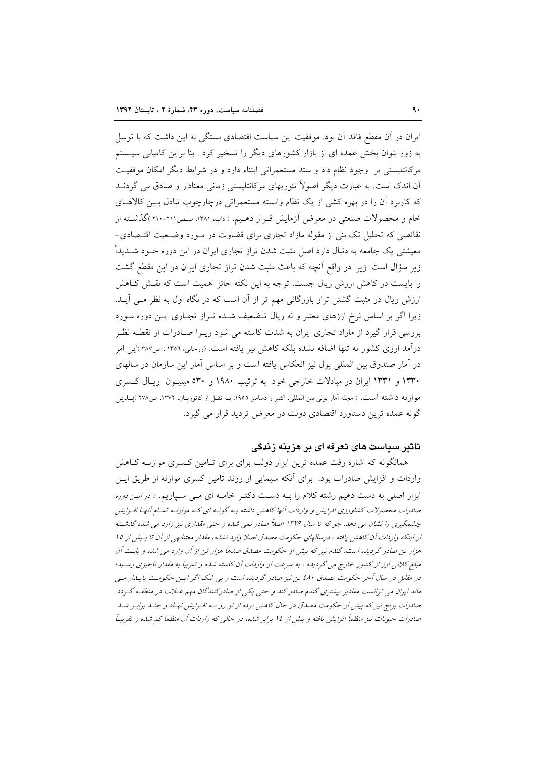ایران در آن مقطع فاقد آن بود. موفقیت این سیاست اقتصادی بستگی به این داشت که با توسل به زور بتوان بخش عمده ای از بازار کشورهای دیگر را تسخیر کرد . بنا براین کامیابی سیستم مركانتليستي بر وجود نظام داد و ستد مستعمراتي ابتناء دارد و در شرايط ديگر امكان موفقيت اّن اندک است. به عبارت دیگر اصولاً تئوریهای مرکانتلیستی زمانی معنادار و صادق می گردنــد که کاربرد آن را در بهره کشی از یک نظام وابسته مستعمراتی درچارچوب تبادل بـین کالاهــای خام و محصولات صنعتی در معرض آزمایش قـرار دهـیم. ( داب، ۱۳۸۱، صـص۲۱۱-۲۱۰)گذشـته از نقائصی که تحلیل تک بنی از مقوله مازاد تجاری برای قضاوت در مـورد وضـعیت اقتـصادی-معیشتی یک جامعه به دنبال دارد اصل مثبت شدن تراز تجاری ایران در این دوره خــود شــدیداً زیر سؤال است. زیرا در واقع آنچه که باعث مثبت شدن تراز تجاری ایران در این مقطع گشت را بایست در کاهش ارزش ریال جست. توجه به این نکته حائز اهمیت است که نقش کـاهش ارزش ریال در مثبت گشتن تراز بازرگانی مهم تر از آن است که در نگاه اول به نظر مـی آیــد. زیرا اگر بر اساس نرخ ارزهای معتبر و نه ریال تـضعیف شـده تـراز تجـاری ایــن دوره مــورد بررسی قرار گیرد از مازاد تجاری ایران به شدت کاسته می شود زیـرا صـادرات از نقطـه نظـر درآمد ارزی کشور نه تنها اضافه نشده بلکه کاهش نیز یافته است. (روحانی، ۱۳۵۲ ، ص۳۸۷)این امر در آمار صندوق بین المللی یول نیز انعکاس یافته است و بر اساس آمار این سازمان در سالهای ۱۳۳۰ و ۱۳۳۱ ایران در مبادلات خارجی خود به ترتیب ۱۹۸۰ و ۵۳۰ میلیـون ریـال کـسری موازنه داشته است. ( مجله آمار پولی بین المللی، اکتبر و دسامبر ١٩٥٥، بــه نقــل از کاتوزیــان، ١٣٧٢، ص٢٧٨ )بـــلــين گونه عمده ترین دستاورد اقتصادی دولت در معرض تردید قرار می گیرد.

# تاثیر سیاست های تعرفه ای بر هزینه زندگی

همانگونه که اشاره رفت عمده ترین ابزار دولت برای برای تـامین کـسری موازنــه کــاهش واردات و افزایش صادرات بود. برای آنکه سیمایی از روند تامین کسری موازنه از طریق ایــن ابزار اصلی به دست دهیم رشته کلام را بـه دسـت دکتـر خامـه ای مـی سـپاریم. « *در ایـن دوره* صادرات محصولات کشاورزی افزایش و واردات آنها کاهش داشته بـه گونـه ای کـه موازنـه تمـام آنهـا افـزایش چشمگیری را نشان می دهد. جو که تا سال ۱۳۲۹ اصلاً صادر نمی شده و حتی مقداری نیز وارد می شده گذشته از اینکه واردات آن کاهش یافته ، درسالهای حکومت مصدق اصلا وارد نشده، مقدار معتنابهی از آن تا بسش از ۱۵ هزار تن صادر گردیده است. گندم نیز که پیش از حکومت مصدق صدها هزار تن از آن وارد می شده و بابت آن مبلغ کلانی ارز از کشور خارج می گردیده ، به سرعت از واردات آن کاسته شده و تقریبا به مقدار ناچیزی رسـید؛ در مقابل در سال آخر حکومت مصدق ٤٨٠ تن نيز صادر گرديده است و بي شک اگر ايـن حکومـت پايـدار مـي ماند ایران می توانست مقادیر بیشتری گندم صادر کند و حتی یکی از صادرکنندگان مهم غـلات در منطقـه گـردد. صادرات برنج نیز که پیش از حکومت مصدق در حال کاهش بوده از نو رو بـه افـزایش نهـاد و چنـلـ برابـر شـلـ. صادرات حبوبات نیز منظماً افزایش یافته و بیش از ١٤ برابر شده، در حالی كه واردات آن منظما كم شده و تقریباً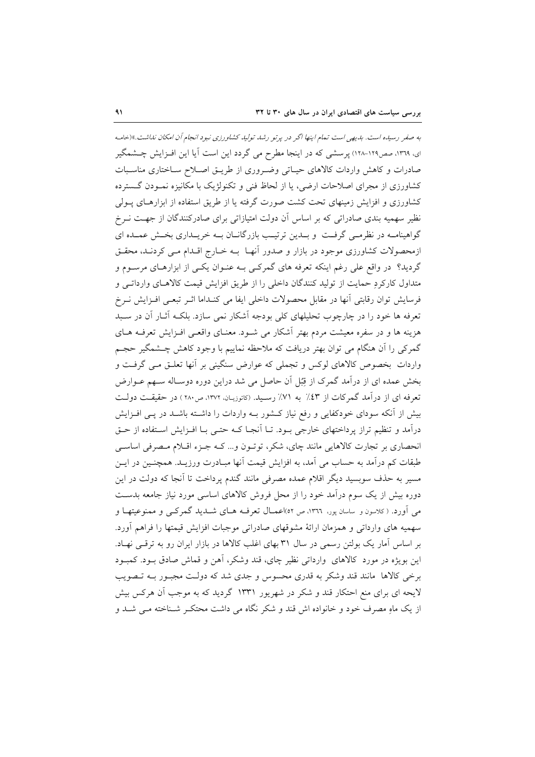به صفر رسیده است. بدیهی است تمام اینها اگر در پرتو رشد تولید کشاورزی نبود انجام آن امکان نداشت.»(خامه ای، ۱۳۹۹، صص۱۲۹-۱۲۸) پرسشی که در اینجا مطرح می گردد این است آیا این افـزایش چـشمگیر صادرات وكاهش واردات كالاهاى حياتى وضرورى از طريـق اصـلاح سـاختارى مناسـبات کشاورزی از مجرای اصلاحات ارضی، یا از لحاظ فنی و تکنولژیک با مکانیزه نمـودن گــسترده کشاورزی و افزایش زمینهای تحت کشت صورت گرفته یا از طریق استفاده از ابزارهـای پــولی نظیر سهمیه بندی صادراتی که بر اساس آن دولت امتیازاتی برای صادرکنندگان از جهت نـرخ گواهینامـه در نظرمـی گرفـت و بــدین ترتیـب بازرگانــان بــه خریــداری بخــش عمــده ای ازمحصولات کشاورزی موجود در بازار و صدور آنهـا بـه خـارج اقـدام مـی کردنـد، محقـق گردید؟ در واقع علی رغم اینکه تعرفه های گمرکـی بـه عنـوان یکـی از ابزارهـای مرسـوم و متداول كاركردِ حمايت از توليد كنندگان داخلي را از طريق افزايش قيمت كالاهـاي وارداتـي و فرسایش توان رقابتی آنها در مقابل محصولات داخلی ایفا می کنـداما اثـر تبعـی افـزایش نـرخ تعرفه ها خود را در چارچوب تحلیلهای کلی بودجه أشکار نمی سازد. بلکـه أثــار أن در ســبد هزینه ها و در سفره معیشت مردم بهتر آشکار می شـود. معنـای واقعـی افـزایش تعرفـه هـای گمرکی را اَن هنگام می توان بهتر دریافت که ملاحظه نماییم با وجود کاهش چــشمگیر حجــم واردات بخصوص کالاهای لوکس و تجملی که عوارض سنگینی بر آنها تعلـق مـی گرفـت و بخش عمده ای از درآمد گمرک از قِبُل آن حاصل می شد دراین دوره دوسـاله ســهم عــوارض تعرفه ای از درآمد گمرکات از ٤٣٪ به ٧١٪ رسـيد. (کاتوزيـان، ١٣٧٢، ص٢٨٠) در حقيقـت دولـت بیش از آنکه سودای خودکفایی و رفع نیاز کـشور بــه واردات را داشــته باشــد در پــی افــزایش درآمد و تنظیم تراز پرداختهای خارجی بـود. تـا اّنجـا کـه حتـی بـا افـزایش اسـتفاده از حـق انحصاری بر تجارت کالاهایی مانند چای، شکر، توتـون و... کـه جـزء اقـلام مـصرفی اساسـی طبقات کم درآمد به حساب می آمد، به افزایش قیمت آنها مبـادرت ورزیــد. همچنـین در ایــن مسیر به حذف سوبسید دیگر اقلام عمده مصرفی مانند گندم پرداخت تا آنجا که دولت در این دوره بیش از یک سوم درآمد خود را از محل فروش کالاهای اساسی مورد نیاز جامعه بدست می آورد. (کلاسون و ساسان یور، ۱۳۶۶، ص ۵۲)اعمــال تعرفــه هــای شـــدید گمرکــی و ممنوعیتهــا و سهميه هاي وارداتي و همزمان ارائهٔ مشوقهاي صادراتي موجبات افزايش قيمتها را فراهم أورد. بر اساس آمار یک بولتن رسمی در سال ۳۱ بهای اغلب کالاها در بازار ایران رو به ترقبی نهـاد. این بویژه در مورد کالاهای وارداتی نظیر چای، قند وشکر، آهن و قماش صادق بـود. کمبـود برخی کالاها ً مانند قند وشکر به قدری محسوس و جدی شد که دولت مجبور بـه تـصویب لایحه ای برای منع احتکار قند و شکر در شهریور ۱۳۳۱ گردید که به موجب آن هرکس بیش از یک ماهِ مصرف خود و خانواده اش قند و شکر نگاه می داشت محتکـر شـناخته مـی شـد و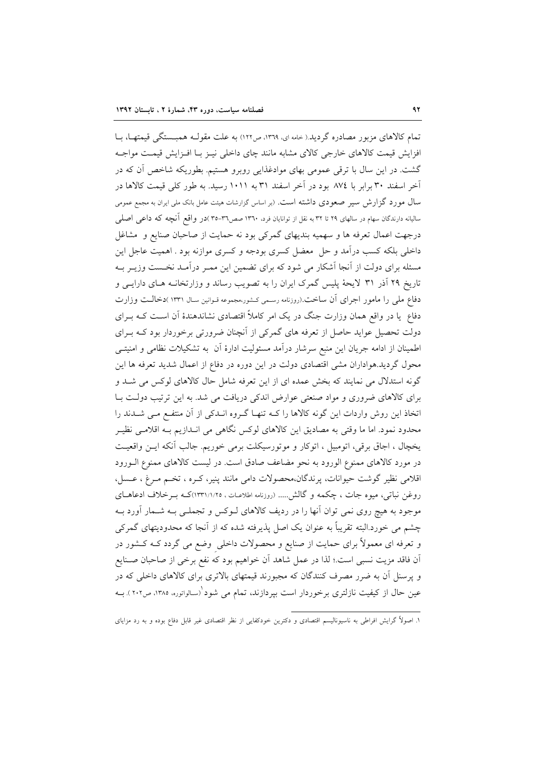تمام کالاهای مزبور مصادره گردید.( خامه ای ١٣٦٩، ص١٢٢) به علت مقولـه همبــستگی قیمتهــا، بــا افزایش قیمت کالاهای خارجی کالای مشابه مانند چای داخلی نیـز بـا افـزایش قیمـت مواجـه گشت. در این سال با ترقی عمومی بهای موادغذایی روبرو هستیم. بطوریکه شاخص آن که در آخر اسفند ۳۰ برابر با ۸۷٤ بود در آخر اسفند ۳۱ به ۱۰۱۱ رسید. به طور کلی قیمت کالاها در سال مورد گزارش سیر صعودی داشته است. (بر اساس گزارشات هیئت عامل بانک ملی ایران به مجمع عمومی سالیانه دارندگان سهام در سالهای ۲۹ تا ۳۲ به نقل از توانایان فرد، ۱۳٦۰ صص۳۱–۳۵ )در واقع آنچه که داعمی اصلبی درجهت اعمال تعرفه ها و سهمیه بندیهای گمرکی بود نه حمایت از صاحبان صنایع و مشاغل داخلی بلکه کسب درآمد و حل ً معضل کسری بودجه و کسری موازنه بود . اهمیت عاجل این مسئله برای دولت از آنجا آشکار می شود که برای تضمین این ممـر درآمـد نخـست وزیـر بـه تاریخ ۲۹ آذر ۳۱ لایحهٔ پلیس گمرک ایران را به تصویب رساند و وزارتخانـه هـای دارایـی و دفاع ملی را مامور اجرای آن ساخت (روزنامه رسمی کشور،مجموعه قـوانین سـال ۱۳۳۱ )دخالـت وزارت دفاع ً یا در واقع همان وزارت جنگ در یک امر کاملاً اقتصادی نشاندهندهٔ اَن اسـت کـه بــرای دولت تحصیل عواید حاصل از تعرفه های گمرکی از آنچنان ضرورتی برخوردار بود کـه بـرای اطمینان از ادامه جریان این منبع سرشار درآمد مسئولیت ادارهٔ آن به تشکیلات نظامی و امنیتـی محول گردید.هواداران مشی اقتصادی دولت در این دوره در دفاع از اعمال شدید تعرفه ها این گونه استدلال می نمایند که بخش عمده ای از این تعرفه شامل حال کالاهای لوکس می شـد و برای کالاهای ضروری و مواد صنعتی عوارض اندکی دریافت می شد. به این ترتیب دولت بـا اتخاذ این روش واردات این گونه کالاها را کـه تنهـا گـروه انـدکی از آن منتفـع مـی شـدند را محدود نمود. اما ما وقتی به مصادیق این کالاهای لوکس نگاهی می انـدازیم بــه اقلامــی نظیــر يخچال ، اجاق برقي، اتومبيل ، اتوكار و موتورسيكلت برمي خوريم. جالب أنكه ايـن واقعيـت در مورد كالاهاى ممنوع الورود به نحو مضاعف صادق است. در ليست كالاهاى ممنوع الــورود اقلامی نظیر گوشت حیوانات، پرندگان،محصولات دامی مانند پنیر، کـره ، تخـم مـرغ ، عــسل، روغن نباتی، میوه جات ، چکمه و گالش..... (روزنامه اطلاعـات ، ١٣٣١/١/٢٥)کــه بــرخلاف ادعاهــای موجود به هیچ روی نمی توان آنها را در ردیف کالاهای لـوکس و تجملـی بـه شـمار آورد بـه چشم می خورد.البته تقریباً به عنوان یک اصل پذیرفته شده که از آنجا که محدودیتهای گمرکی و تعرفه ای معمولاً برای حمایت از صنایع و محصولات داخلی وضع می گردد کـه کـشور در اّن فاقد مزيت نسبي است.؛ لذا در عمل شاهد اّن خواهيم بود كه نفع برخي از صاحبان صـنايع و پرسنل آن به ضرر مصرف کنندگان که مجبورند قیمتهای بالاتری برای کالاهای داخلی که در عین حال از کیفیت نازلتری برخوردار است بیردازند، تمام می شود`(سالواتوره، ۱۳۸۵، ص۲۰۲). بــه

۱. اصولاً گرایش افراطی به ناسیونالیسم اقتصادی و دکترین خودکفایی از نظر اقتصادی غیر قابل دفاع بوده و به رد مزایای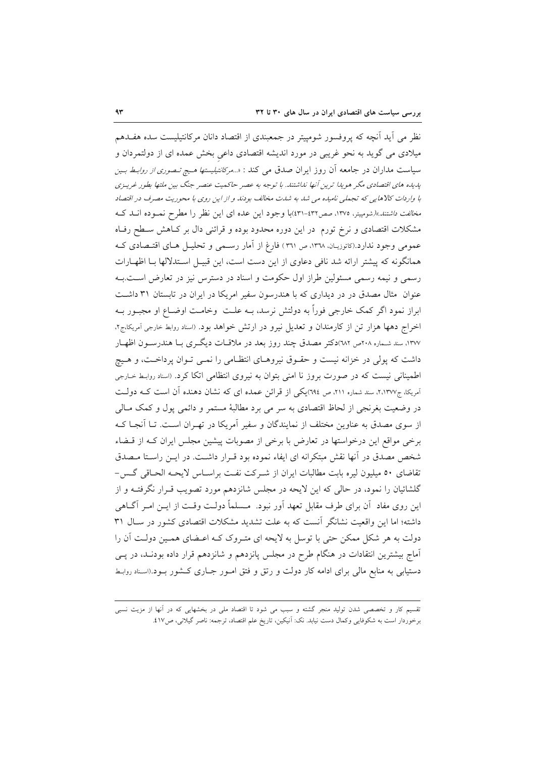نظر می أید أنچه که پروفسور شومپیتر در جمعبندی از اقتصاد دانان مرکانتیلیست سده هفـدهم میلادی می گوید به نحو غریبی در مورد اندیشه اقتصادی داعی بخش عمده ای از دولتمردان و سیاست مداران در جامعه آن روز ایران صدق می کند : «…*مرکانتیلیستها هـیچ تـصوری از روابـط بـین* یدیده های اقتصادی مگر هویدا ترین آنها نداشتند. با توجه به عصر حاکمیت عنصر جنگ بین ملتها بطور غریبزی با واردات كالاهايي كه تجملي ناميده مي شد به شدت مخالف بودند و از اين روي با محوريت مصرف در اقتصاد م*خالفت داشتند.»(*شومپیتر، ۱۳۷۵، صص۱۳۲-۴۳۱)با وجود این عده ای این نظر را مطرح نمـوده انــد کــه مشکلات اقتصادی و نرخ تورم ً در این دوره محدود بوده و قرائنی دال بر کـاهش سـطح رفـاه عمومی وجود ندارد.(کاتوزیـان، ١٣٦٨، ص ٣٦١) فارغ از آمار رسـمی و تحلیــل هــای اقتــصادی کــه همانگونه که پیشتر ارائه شد نافی دعاوی از این دست است، این قبیـل اسـتدلالها بـا اظهـارات رسمی و نیمه رسمی مسئولین طراز اول حکومت و اسناد در دسترس نیز در تعارض است.بـه عنوان ً مثال مصدق در در دیداری که با هندرسون سفیر امریکا در ایران در تابستان ۳۱ داشت ابراز نمود اگر کمک خارجی فوراً به دولتش نرسد، بــه علــت ۖ وخامــت اوضــاع او مجبــور بــه اخراج دهها هزار تن از کارمندان و تعدیل نیرو در ارتش خواهد بود. (اسناد روابط خارجی آمریکا،ج۲، ۱۳۷۷، سند شـماره ۲۰۸ص ۱۸۲)دکتر مصدق چند روز بعد در ملاقــات دیگــری بــا هندرســون اظهــار داشت که پولی در خزانه نیست و حقـوق نیروهـای انتظـامی را نمـی تـوان پرداخـت، و هـیج اطمینانی نیست که در صورت بروز نا امنی بتوان به نیروی انتظامی اتکا کرد. (اسناد روابط خارجی آمریکا، ج۲٬۱۳۷۷، سند شماره ۲۱۱، ص ۳۹٤)یکی از قرائن عمده ای که نشان دهنده آن است کـه دولـت در وضعیت بغرنجی از لحاظ اقتصادی به سر می برد مطالبهٔ مستمر و دائمی پول و کمک مـالی از سوی مصدق به عناوین مختلف از نمایندگان و سفیر آمریکا در تهـران اسـت. تـا آنجـا کـه برخی مواقع این درخواستها در تعارض با برخی از مصوبات پیشین مجلس ایران کـه از قــضاء شخص مصدق در آنها نقش مبتكرانه اي ايفاء نموده بود قـرار داشـت. در ايــن راسـتا مـصدق تقاضاي ٥٠ ميليون ليره بابت مطالبات ايران از شـركت نفـت براسـاس لايحـه الحـاقى گـس-گلشائیان را نمود، در حالی که این لایحه در مجلس شانزدهم مورد تصویب قـرار نگرفتــه و از این روی مفاد ۖ أن برای طرف مقابل تعهد اَور نبود. ۖ مــسلماً دولـت وقـت از ایــن امــر اَگــاهـی داشته؛ اما این واقعیت نشانگر آنست که به علت تشدید مشکلات اقتصادی کشور در سـال ۳۱ دولت به هر شکل ممکن حتی با توسل به لایحه ای متـروک کـه اعـضای همـین دولـت آن را آماج بیشترین انتقادات در هنگام طرح در مجلس پانزدهم و شانزدهم قرار داده بودنـد، در پـی دستیابی به منابع مالی برای ادامه کار دولت و رتق و فتق امور جـاری کـشور بـود.(اسـناد روابـط

<sup>۔&</sup>lt;br>تقسیم کار و تخصصی شدن تولید منجر گشته و سبب می شود تا اقتصاد ملی در بخشهایی که در آنها از مزیت نسبی برخوردار است به شکوفایی وکمال دست نیابد. نک: آنیکین، تاریخ علم اقتصاد، ترجمه: ناصر گیلانی، ص٤١٧.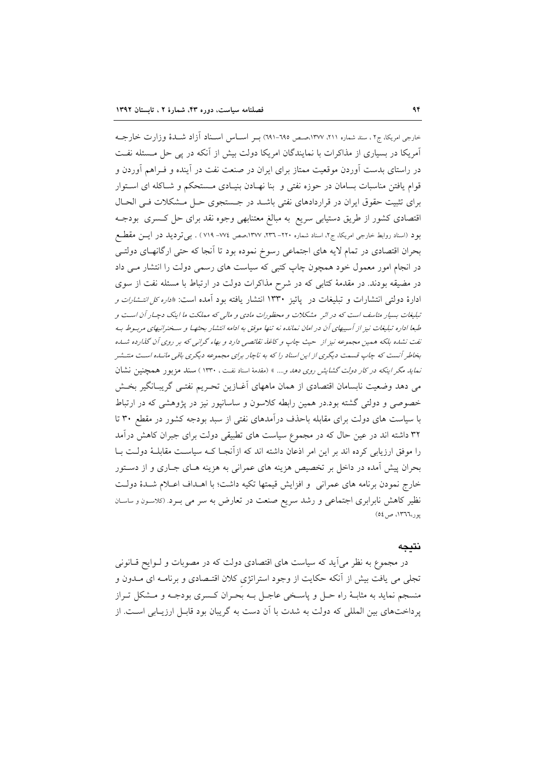خارجی امریکا، ج۲، سند شماره ۲۱۱، ۱۳۷۷،صص ۹۹۰-۹۹۱) بـر اســاس اســناد آزاد شــدهٔ وزارت خارجــه آمریکا در بسیاری از مذاکرات با نمایندگان امریکا دولت بیش از آنکه در پی حل مـسئله نفـت در راستای بدست آوردن موقعیت ممتاز برای ایران در صنعت نفت در آینده و فـراهم آوردن و قوام یافتن مناسبات بسامان در حوزه نفتی و بنا نهـادن بنیـادی مـستحکم و شـاکله ای اسـتوار برای تثبیت حقوق ایران در قراردادهای نفتی باشـد در جـستجوی حـل مـشکلات فـی الحـال اقتصادی کشور از طریق دستیابی سریع به مبالغ معتنابهی وجوه نقد برای حل کسری بودجـه بود (اسناد روابط خارجی امریکا، ج۲، اسناد شماره ۲۲۰– ۲۳۲، ۱۳۷۷،صص ۷۷٤– ۷۱۹) . بی تردید در ایسن مقطع بحران اقتصادی در تمام لایه های اجتماعی رسوخ نموده بود تا آنجا که حتی ارگانهـای دولتـی در انجام امور معمول خود همچون چاپ کتبی که سیاست های رسمی دولت را انتشار مـی داد در مضیقه بودند. در مقدمهٔ کتابی که در شرح مذاکرات دولت در ارتباط با مسئله نفت از سوی ادارهٔ دولتی انتشارات و تبلیغات در پائیز ۱۳۳۰ انتشار یافته بود آمده است: «*اداره کل انتشارات و* تبلیغات بسیار متاسف است که در اثر مشکلات و محظورات مادی و مالی که مملکت ما اینک دچیار آن است و طبعا اداره تبلیغات نیز از آسیبهای آن در امان نمانده نه تنها موفق به ادامه انتشار بحثها و سخنرانیهای مربوط به نفت نشده بلکه همین مجموعه نیز از حیث چاپ و کاغلا نقائصی دارد و بهاء گرانبی که بر روی آن گذارده شد.ه بخاطر آنست که چاپ قسمت دیگری از این اسناد را که به ناچار برای مجموعه دیگری باقی مانساه است منتــشر نم*اید مگر اینکه در کار دولت گشایش روی دهد و....* » (مقدمهٔ اسناد نفت ، ۱۳۳۰ ) سند مزبور همچنین نشان می دهد وضعیت نابسامان اقتصادی از همان ماههای آغـازین تحـریم نفتـی گریبـانگیر بخـش خصوصی و دولتی گشته بود.در همین رابطه کلاسون و ساسانپور نیز در پژوهشی که در ارتباط با سیاست های دولت برای مقابله باحذف درآمدهای نفتی از سبد بودجه کشور در مقطع ۳۰ تا ۳۲ داشته اند در عین حال که در مجموع سیاست های تطبیقی دولت برای جبران کاهش درآمد را موفق ارزیابی کرده اند بر این امر اذعان داشته اند که ازآنجـا کــه سیاســت مقابلــهٔ دولــت بــا بحران پیش آمده در داخل بر تخصیص هزینه های عمرانی به هزینه هـای جـاری و از دسـتور خارج نمودن برنامه های عمرانی و افزایش قیمتها تکیه داشت؛ با اهـداف اعـلام شـدهٔ دولـت نظیر کاهش نابرابری اجتماعی و رشد سریع صنعت در تعارض به سر می بـرد (کلاسـون و ساسـان یور،١٣٦٦، ص ٥٤

#### نتىحە

در مجموع به نظر می آید که سیاست های اقتصادی دولت که در مصوبات و لـوایح قـانونی تجلَّى مي يافت بيش از آنكه حكايت از وجود استراتژي كلان اقتـصادي و برنامـه اي مــدون و منسجم نماید به مثابـهٔ راه حـل و یاسـخی عاجـل بـه بحـران کـسری بودجـه و مـشکل تـراز پرداختهای بین المللی که دولت به شدت با آن دست به گریبان بود قابـل ارزیـابی اسـت. از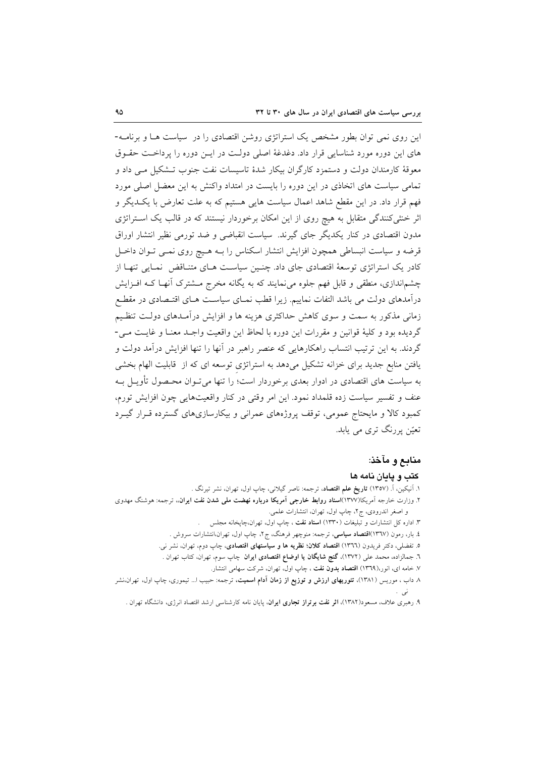این روی نمی توان بطور مشخص یک استراتژی روشن اقتصادی را در سیاست هـا و برنامـه-های این دوره مورد شناسایی قرار داد. دغدغهٔ اصلی دولت در ایـن دوره را برداخـت حقـوق معوقهٔ کارمندان دولت و دستمزد کارگران بیکار شدهٔ تاسیسات نفت جنوب تـشکیل مـی داد و تمامی سیاست های اتخاذی در این دوره را بایست در امتداد واکنش به این معضل اصلی مورد فهم قرار داد. در این مقطع شاهد اعمال سیاست هایی هستیم که به علت تعارض با یک دیگر و اثر خنثی کنندگی متقابل به هیچ روی از این امکان برخوردار نیستند که در قالب یک استراتژی مدون اقتصادی در کنار یکدیگر جای گیرند. سیاست انقباضی و ضد تورمی نظیر انتشار اوراق قرضه و سیاست انبساطی همچون افزایش انتشار اسکناس را بـه هـیچ روی نمـی تـوان داخـل کادر یک استراتژی توسعهٔ اقتصادی جای داد. چنـین سیاسـت هـای متنـاقض نمـایی تنهـا از چشماندازی، منطقی و قابل فهم جلوه می نمایند که به یگانه مخرج مـشترک آنهـا کــه افــزایش درآمدهای دولت می باشد التفات نماییم. زیرا قطب نمـای سیاسـت هـای اقتـصادی در مقطـع زمانی مذکور به سمت و سوی کاهش حداکثری هزینه ها و افزایش درآمـدهای دولـت تنظـیم گردیده بود و کلیهٔ قوانین و مقررات این دوره با لحاظ این واقعیت واجـد معنـا و غایـت مـی-گردند. به این ترتیب انتساب راهکارهایی که عنصر راهبر در آنها را تنها افزایش درآمد دولت و یافتن منابع جدید برای خزانه تشکیل میدهد به استراتژی توسعه ای که از قابلیت الهام بخشی به سیاست های اقتصادی در ادوار بعدی برخوردار است؛ را تنها میتوان محـصول تأویــل بــه عنف و تفسیر سیاست زده قلمداد نمود. این امر وقتی در کنار واقعیتهایی چون افزایش تورم، کمبود کالا و مایحتاج عمومی، توقف پروژههای عمرانی و بیکارسازیهای گسترده قـرار گیــرد تعیّن پررنگ تری می پابد.

# منابع و مآخذ:

## كتب و يايان نامه ها

۱. اَنیکین، اَ. (۱۳۵۷) **تاریخ علم اقتصاد**، ترجمه: ناصر گیلانی، چاپ اول، تهران، نشر تیرنگ . ۲. وزارت خارجه آمریکا(۱۳۷۷)ا**سناد روابط خارجی آمریکا درباره نهضت مل<sub>ی</sub> شدن نفت ایران**»، ترجمه: هوشنگ مهدوی و اصغر اندرودي، ج٢، چاپ اول، تهران، انتشارات علمي. ۳. اداره کل انتشارات و تبلیغات (۱۳۳۰) **اسناد نف**ت ، چاپ اول، تهران،چاپخانه مجلس ٤. بار، رمون (١٣٦٧)ا**قتصاد سیاسی**، ترجمه: منوچهر فرهنگ، ج٢، چاپ اول، تهران،انتشارات سروش . ۵. تفضلی، دکتر فریدون (١٣٦٦) اقتصاد کلان؛ نظریه ها و سیاستهای اقتصادی، چاپ دوم، تهران، نشر نی. ٦. جمالزاده، محمد على (١٣٧٢)، **گنج شايگان يا اوضاع اقتصادي ايران** چاپ سوم، تهران، كتاب تهران . ۷. خامه ای، انور،(۱۳<mark>٦۹) اقتصاد بدون نفت</mark> ، چاپ اول، تهران، شرکت سهامی انتشار. ۸ داب ، موریس (۱۳۸۱)، **تئوریهای ارزش و توزیع از زمان آدام اسمیت**، ترجمه: حبیب ا… تیموری، چاپ اول، تهران،نشر

۹. رهبری علاف، مسعود(۱۳۸۲)، ا**ثر نفت برتراز تجاری ایران**، پایان نامه کارشناسی ارشد اقتصاد انرژی، دانشگاه تهران .